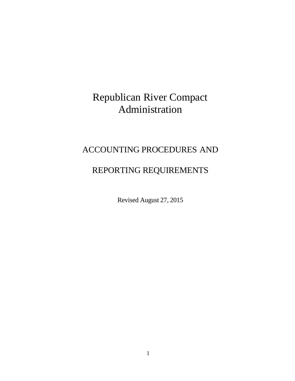# Republican River Compact Administration

# ACCOUNTING PROCEDURES AND

# REPORTING REQUIREMENTS

Revised August 27, 2015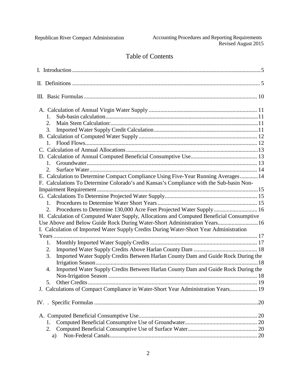## Table of Contents

| 1.                                                                                       |  |
|------------------------------------------------------------------------------------------|--|
| 2.                                                                                       |  |
| 3.                                                                                       |  |
|                                                                                          |  |
| 1.                                                                                       |  |
|                                                                                          |  |
|                                                                                          |  |
| 1.                                                                                       |  |
| 2.                                                                                       |  |
| E. Calculation to Determine Compact Compliance Using Five-Year Running Averages 14       |  |
| F. Calculations To Determine Colorado's and Kansas's Compliance with the Sub-basin Non-  |  |
|                                                                                          |  |
|                                                                                          |  |
|                                                                                          |  |
| Procedures to Determine 130,000 Acre Feet Projected Water Supply 16<br>2.                |  |
| H. Calculation of Computed Water Supply, Allocations and Computed Beneficial Consumptive |  |
| Use Above and Below Guide Rock During Water-Short Administration Years 16                |  |
| I. Calculation of Imported Water Supply Credits During Water-Short Year Administration   |  |
|                                                                                          |  |
| 1.                                                                                       |  |
| 2.                                                                                       |  |
| Imported Water Supply Credits Between Harlan County Dam and Guide Rock During the<br>3.  |  |
|                                                                                          |  |
| Imported Water Supply Credits Between Harlan County Dam and Guide Rock During the<br>4.  |  |
|                                                                                          |  |
|                                                                                          |  |
| J. Calculations of Compact Compliance in Water-Short Year Administration Years 19        |  |
|                                                                                          |  |
|                                                                                          |  |
| 1.                                                                                       |  |
| 2.                                                                                       |  |
| a)                                                                                       |  |
|                                                                                          |  |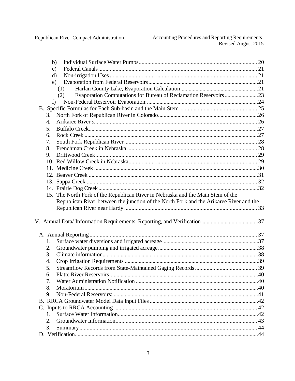Republican River Compact Administration

|             | b)                                                                                     |  |
|-------------|----------------------------------------------------------------------------------------|--|
|             | c)                                                                                     |  |
|             | $\mathbf{d}$                                                                           |  |
|             | e)                                                                                     |  |
|             | (1)                                                                                    |  |
|             | Evaporation Computations for Bureau of Reclamation Reservoirs 23<br>(2)                |  |
|             | f                                                                                      |  |
|             |                                                                                        |  |
| 3.          |                                                                                        |  |
| 4.          |                                                                                        |  |
| 5.          |                                                                                        |  |
| 6.          |                                                                                        |  |
| 7.          |                                                                                        |  |
| 8.          |                                                                                        |  |
| 9.          |                                                                                        |  |
|             |                                                                                        |  |
|             |                                                                                        |  |
|             |                                                                                        |  |
|             |                                                                                        |  |
|             |                                                                                        |  |
|             | 15. The North Fork of the Republican River in Nebraska and the Main Stem of the        |  |
|             |                                                                                        |  |
|             | Republican River between the junction of the North Fork and the Arikaree River and the |  |
|             |                                                                                        |  |
|             |                                                                                        |  |
|             |                                                                                        |  |
|             |                                                                                        |  |
|             |                                                                                        |  |
| 1.          |                                                                                        |  |
| 2.          |                                                                                        |  |
| 3.          |                                                                                        |  |
| 4.          |                                                                                        |  |
| 5.          |                                                                                        |  |
| 6.          |                                                                                        |  |
| 7.          |                                                                                        |  |
| 8.          |                                                                                        |  |
| 9.          |                                                                                        |  |
|             |                                                                                        |  |
|             |                                                                                        |  |
| $1_{\cdot}$ |                                                                                        |  |
| 2.          |                                                                                        |  |
| 3.          |                                                                                        |  |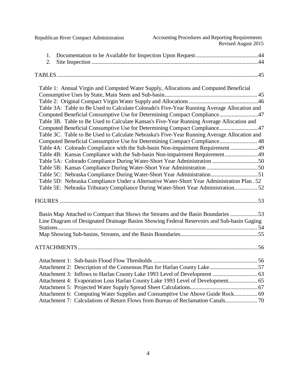| Republican River Compact Administration                                               | Accounting Procedures and Reporting Requirements<br>Revised August 2015                     |
|---------------------------------------------------------------------------------------|---------------------------------------------------------------------------------------------|
| 1.                                                                                    |                                                                                             |
| 2.                                                                                    |                                                                                             |
|                                                                                       |                                                                                             |
|                                                                                       |                                                                                             |
| Table 1: Annual Virgin and Computed Water Supply, Allocations and Computed Beneficial |                                                                                             |
|                                                                                       |                                                                                             |
|                                                                                       |                                                                                             |
|                                                                                       | Table 3A: Table to Be Used to Calculate Colorado's Five-Year Running Average Allocation and |
|                                                                                       | Computed Beneficial Consumptive Use for Determining Compact Compliance47                    |
|                                                                                       | Table 3B. Table to Be Used to Calculate Kansas's Five-Year Running Average Allocation and   |
|                                                                                       | Computed Beneficial Consumptive Use for Determining Compact Compliance47                    |
|                                                                                       | Table 3C. Table to Be Used to Calculate Nebraska's Five-Year Running Average Allocation and |
|                                                                                       | Computed Beneficial Consumptive Use for Determining Compact Compliance 48                   |
|                                                                                       | Table 4A: Colorado Compliance with the Sub-basin Non-impairment Requirement 49              |
|                                                                                       | Table 4B: Kansas Compliance with the Sub-basin Non-impairment Requirement49                 |
|                                                                                       | Table 5A: Colorado Compliance During Water-Short Year Administration 50                     |
|                                                                                       |                                                                                             |
|                                                                                       |                                                                                             |
|                                                                                       | Table 5D: Nebraska Compliance Under a Alternative Water-Short Year Administration Plan . 52 |
|                                                                                       | Table 5E: Nebraska Tributary Compliance During Water-Short Year Administration 52           |
|                                                                                       |                                                                                             |
|                                                                                       | Basin Map Attached to Compact that Shows the Streams and the Basin Boundaries 53            |
|                                                                                       | Line Diagram of Designated Drainage Basins Showing Federal Reservoirs and Sub-basin Gaging  |
|                                                                                       |                                                                                             |
|                                                                                       |                                                                                             |
|                                                                                       |                                                                                             |
|                                                                                       |                                                                                             |
|                                                                                       |                                                                                             |
|                                                                                       | Attachment 2: Description of the Consensus Plan for Harlan County Lake57                    |
|                                                                                       |                                                                                             |
|                                                                                       | Attachment 4: Evaporation Loss Harlan County Lake 1993 Level of Development 65              |
|                                                                                       |                                                                                             |
|                                                                                       | Attachment 6: Computing Water Supplies and Consumptive Use Above Guide Rock 69              |
|                                                                                       | Attachment 7: Calculations of Return Flows from Bureau of Reclamation Canals 70             |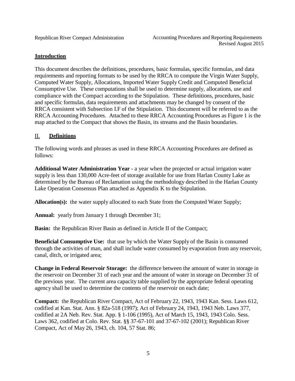## <span id="page-4-0"></span>**Introduction**

This document describes the definitions, procedures, basic formulas, specific formulas, and data requirements and reporting formats to be used by the RRCA to compute the Virgin Water Supply, Computed Water Supply, Allocations, Imported Water Supply Credit and Computed Beneficial Consumptive Use. These computations shall be used to determine supply, allocations, use and compliance with the Compact according to the Stipulation. These definitions, procedures, basic and specific formulas, data requirements and attachments may be changed by consent of the RRCA consistent with Subsection I.F of the Stipulation. This document will be referred to as the RRCA Accounting Procedures. Attached to these RRCA Accounting Procedures as Figure 1 is the map attached to the Compact that shows the Basin, its streams and the Basin boundaries.

## <span id="page-4-1"></span>II. **Definitions**

The following words and phrases as used in these RRCA Accounting Procedures are defined as follows:

**Additional Water Administration Year -** a year when the projected or actual irrigation water supply is less than 130,000 Acre-feet of storage available for use from Harlan County Lake as determined by the Bureau of Reclamation using the methodology described in the Harlan County Lake Operation Consensus Plan attached as Appendix K to the Stipulation.

**Allocation(s):** the water supply allocated to each State from the Computed Water Supply;

**Annual:** yearly from January 1 through December 31;

**Basin:** the Republican River Basin as defined in Article II of the Compact;

**Beneficial Consumptive Use:** that use by which the Water Supply of the Basin is consumed through the activities of man, and shall include water consumed by evaporation from any reservoir, canal, ditch, or irrigated area;

**Change in Federal Reservoir Storage:** the difference between the amount of water in storage in the reservoir on December 31 of each year and the amount of water in storage on December 31 of the previous year. The current area capacity table supplied by the appropriate federal operating agency shall be used to determine the contents of the reservoir on each date;

**Compact:** the Republican River Compact, Act of February 22, 1943, 1943 Kan. Sess. Laws 612, codified at Kan. Stat. Ann. § 82a-518 (1997); Act of February 24, 1943, 1943 Neb. Laws 377, codified at 2A Neb. Rev. Stat. App. § 1-106 (1995), Act of March 15, 1943, 1943 Colo. Sess. Laws 362, codified at Colo. Rev. Stat. §§ 37-67-101 and 37-67-102 (2001); Republican River Compact, Act of May 26, 1943, ch. 104, 57 Stat. 86;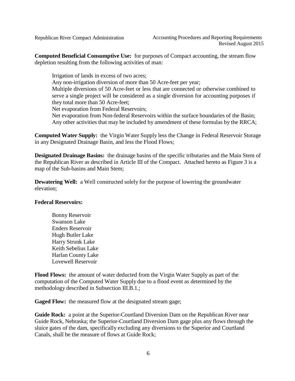**Computed Beneficial Consumptive Use:** for purposes of Compact accounting, the stream flow depletion resulting from the following activities of man:

Irrigation of lands in excess of two acres; Any non-irrigation diversion of more than 50 Acre-feet per year; Multiple diversions of 50 Acre-feet or less that are connected or otherwise combined to serve a single project will be considered as a single diversion for accounting purposes if they total more than 50 Acre-feet; Net evaporation from Federal Reservoirs; Net evaporation from Non-federal Reservoirs within the surface boundaries of the Basin; Any other activities that may be included by amendment of these formulas by the RRCA;

**Computed Water Supply:** the Virgin Water Supply less the Change in Federal Reservoir Storage in any Designated Drainage Basin, and less the Flood Flows;

**Designated Drainage Basins:** the drainage basins of the specific tributaries and the Main Stem of the Republican River as described in Article III of the Compact. Attached hereto as Figure 3 is a map of the Sub-basins and Main Stem;

**Dewatering Well:** a Well constructed solely for the purpose of lowering the groundwater elevation;

## **Federal Reservoirs:**

Bonny Reservoir Swanson Lake Enders Reservoir Hugh Butler Lake Harry Strunk Lake Keith Sebelius Lake Harlan County Lake Lovewell Reservoir

**Flood Flows:** the amount of water deducted from the Virgin Water Supply as part of the computation of the Computed Water Supply due to a flood event as determined by the methodology described in Subsection III.B.1.;

**Gaged Flow:** the measured flow at the designated stream gage;

**Guide Rock:** a point at the Superior-Courtland Diversion Dam on the Republican River near Guide Rock, Nebraska; the Superior-Courtland Diversion Dam gage plus any flows through the sluice gates of the dam, specifically excluding any diversions to the Superior and Courtland Canals, shall be the measure of flows at Guide Rock;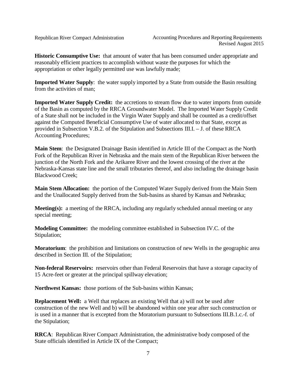**Historic Consumptive Use:** that amount of water that has been consumed under appropriate and reasonably efficient practices to accomplish without waste the purposes for which the appropriation or other legally permitted use was lawfully made;

**Imported Water Supply**: the water supply imported by a State from outside the Basin resulting from the activities of man;

**Imported Water Supply Credit:** the accretions to stream flow due to water imports from outside of the Basin as computed by the RRCA Groundwater Model. The Imported Water Supply Credit of a State shall not be included in the Virgin Water Supply and shall be counted as a credit/offset against the Computed Beneficial Consumptive Use of water allocated to that State, except as provided in Subsection V.B.2. of the Stipulation and Subsections III.I. – J. of these RRCA Accounting Procedures;

**Main Stem**: the Designated Drainage Basin identified in Article III of the Compact as the North Fork of the Republican River in Nebraska and the main stem of the Republican River between the junction of the North Fork and the Arikaree River and the lowest crossing of the river at the Nebraska-Kansas state line and the small tributaries thereof, and also including the drainage basin Blackwood Creek;

**Main Stem Allocation:** the portion of the Computed Water Supply derived from the Main Stem and the Unallocated Supply derived from the Sub-basins as shared by Kansas and Nebraska;

**Meeting(s):** a meeting of the RRCA, including any regularly scheduled annual meeting or any special meeting;

**Modeling Committee:** the modeling committee established in Subsection IV.C. of the Stipulation;

**Moratorium**: the prohibition and limitations on construction of new Wells in the geographic area described in Section III. of the Stipulation;

**Non-federal Reservoirs:** reservoirs other than Federal Reservoirs that have a storage capacity of 15 Acre-feet or greater at the principal spillway elevation;

**Northwest Kansas:** those portions of the Sub-basins within Kansas;

**Replacement Well:** a Well that replaces an existing Well that a) will not be used after construction of the new Well and b) will be abandoned within one year after such construction or is used in a manner that is excepted from the Moratorium pursuant to Subsections III.B.1.c.-f. of the Stipulation;

**RRCA**: Republican River Compact Administration, the administrative body composed of the State officials identified in Article IX of the Compact;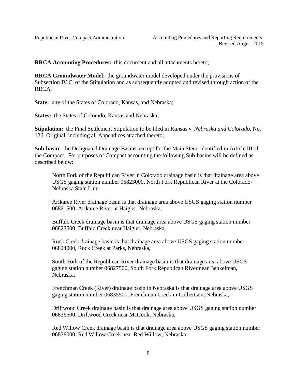**RRCA Accounting Procedures:** this document and all attachments hereto;

**RRCA Groundwater Model**: the groundwater model developed under the provisions of Subsection IV.C. of the Stipulation and as subsequently adopted and revised through action of the RRCA;

**State:** any of the States of Colorado, Kansas, and Nebraska;

**States:** the States of Colorado, Kansas and Nebraska;

**Stipulation:** the Final Settlement Stipulation to be filed in *Kansas v. Nebraska and Colorado*, No. 126, Original, including all Appendices attached thereto;

**Sub-basin**: the Designated Drainage Basins, except for the Main Stem, identified in Article III of the Compact. For purposes of Compact accounting the following Sub-basins will be defined as described below:

North Fork of the Republican River in Colorado drainage basin is that drainage area above USGS gaging station number 06823000, North Fork Republican River at the Colorado-Nebraska State Line,

Arikaree River drainage basin is that drainage area above USGS gaging station number 06821500, Arikaree River at Haigler, Nebraska,

Buffalo Creek drainage basin is that drainage area above USGS gaging station number 06823500, Buffalo Creek near Haigler, Nebraska,

Rock Creek drainage basin is that drainage area above USGS gaging station number 06824000, Rock Creek at Parks, Nebraska,

South Fork of the Republican River drainage basin is that drainage area above USGS gaging station number 06827500, South Fork Republican River near Benkelman, Nebraska,

Frenchman Creek (River) drainage basin in Nebraska is that drainage area above USGS gaging station number 06835500, Frenchman Creek in Culbertson, Nebraska,

Driftwood Creek drainage basin is that drainage area above USGS gaging station number 06836500, Driftwood Creek near McCook, Nebraska,

Red Willow Creek drainage basin is that drainage area above USGS gaging station number 06838000, Red Willow Creek near Red Willow, Nebraska,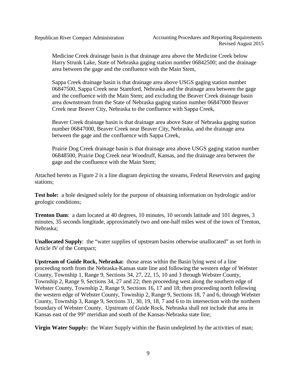Medicine Creek drainage basin is that drainage area above the Medicine Creek below Harry Strunk Lake, State of Nebraska gaging station number 06842500; and the drainage area between the gage and the confluence with the Main Stem,

Sappa Creek drainage basin is that drainage area above USGS gaging station number 06847500, Sappa Creek near Stamford, Nebraska and the drainage area between the gage and the confluence with the Main Stem; and excluding the Beaver Creek drainage basin area downstream from the State of Nebraska gaging station number 06847000 Beaver Creek near Beaver City, Nebraska to the confluence with Sappa Creek,

Beaver Creek drainage basin is that drainage area above State of Nebraska gaging station number 06847000, Beaver Creek near Beaver City, Nebraska, and the drainage area between the gage and the confluence with Sappa Creek,

Prairie Dog Creek drainage basin is that drainage area above USGS gaging station number 06848500, Prairie Dog Creek near Woodruff, Kansas, and the drainage area between the gage and the confluence with the Main Stem;

Attached hereto as Figure 2 is a line diagram depicting the streams, Federal Reservoirs and gaging stations;

**Test hole:** a hole designed solely for the purpose of obtaining information on hydrologic and/or geologic conditions;

**Trenton Dam**: a dam located at 40 degrees, 10 minutes, 10 seconds latitude and 101 degrees, 3 minutes, 35 seconds longitude, approximately two and one-half miles west of the town of Trenton, Nebraska;

**Unallocated Supply**: the "water supplies of upstream basins otherwise unallocated" as set forth in Article IV of the Compact;

**Upstream of Guide Rock, Nebraska:** those areas within the Basin lying west of a line proceeding north from the Nebraska-Kansas state line and following the western edge of Webster County, Township 1, Range 9, Sections 34, 27, 22, 15, 10 and 3 through Webster County, Township 2, Range 9, Sections 34, 27 and 22; then proceeding west along the southern edge of Webster County, Township 2, Range 9, Sections 16, 17 and 18; then proceeding north following the western edge of Webster County, Township 2, Range 9, Sections 18, 7 and 6, through Webster County, Township 3, Range 9, Sections 31, 30, 19, 18, 7 and 6 to its intersection with the northern boundary of Webster County. Upstream of Guide Rock, Nebraska shall not include that area in Kansas east of the 99° meridian and south of the Kansas-Nebraska state line;

**Virgin Water Supply:** the Water Supply within the Basin undepleted by the activities of man;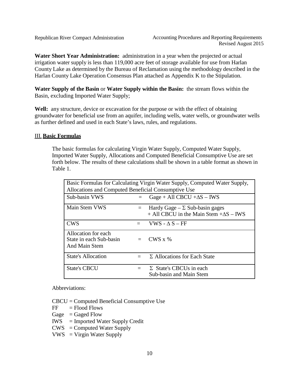**Water Short Year Administration:** administration in a year when the projected or actual irrigation water supply is less than 119,000 acre feet of storage available for use from Harlan County Lake as determined by the Bureau of Reclamation using the methodology described in the Harlan County Lake Operation Consensus Plan attached as Appendix K to the Stipulation.

**Water Supply of the Basin** or **Water Supply within the Basin:** the stream flows within the Basin, excluding Imported Water Supply;

**Well:** any structure, device or excavation for the purpose or with the effect of obtaining groundwater for beneficial use from an aquifer, including wells, water wells, or groundwater wells as further defined and used in each State's laws, rules, and regulations.

#### <span id="page-9-0"></span>III. **Basic Formulas**

The basic formulas for calculating Virgin Water Supply, Computed Water Supply, Imported Water Supply, Allocations and Computed Beneficial Consumptive Use are set forth below. The results of these calculations shall be shown in a table format as shown in Table 1.

| Basic Formulas for Calculating Virgin Water Supply, Computed Water Supply,<br>Allocations and Computed Beneficial Consumptive Use |         |                                                                                          |  |
|-----------------------------------------------------------------------------------------------------------------------------------|---------|------------------------------------------------------------------------------------------|--|
| Sub-basin VWS                                                                                                                     |         | Gage + All CBCU + $\Delta S$ – IWS                                                       |  |
| Main Stem VWS                                                                                                                     | $=$     | Hardy Gage – $\Sigma$ Sub-basin gages<br>$+$ All CBCU in the Main Stem $+\Delta S$ – IWS |  |
| <b>CWS</b>                                                                                                                        |         | VWS - $\Delta$ S – FF                                                                    |  |
| Allocation for each<br>State in each Sub-basin<br>And Main Stem                                                                   | $=$     | $CWS \times %$                                                                           |  |
| <b>State's Allocation</b>                                                                                                         | $=$ $-$ | $\Sigma$ Allocations for Each State                                                      |  |
| <b>State's CBCU</b>                                                                                                               |         | $\Sigma$ State's CBCUs in each<br>Sub-basin and Main Stem                                |  |

Abbreviations:

CBCU = Computed Beneficial Consumptive Use

- $FF =$  Flood Flows
- Gage  $=$  Gaged Flow
- IWS = Imported Water Supply Credit
- $CWS =$  Computed Water Supply
- $VWS = V$ irgin Water Supply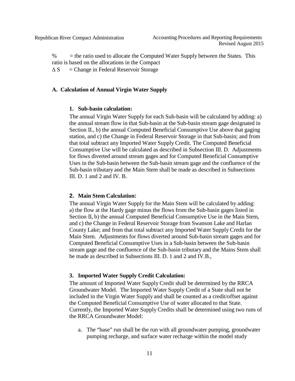% = the ratio used to allocate the Computed Water Supply between the States. This ratio is based on the allocations in the Compact

 $\Delta S$  = Change in Federal Reservoir Storage

### <span id="page-10-1"></span><span id="page-10-0"></span>**A. Calculation of Annual Virgin Water Supply**

#### **1. Sub-basin calculation:**

The annual Virgin Water Supply for each Sub-basin will be calculated by adding: a) the annual stream flow in that Sub-basin at the Sub-basin stream gage designated in Section II., b) the annual Computed Beneficial Consumptive Use above that gaging station, and c) the Change in Federal Reservoir Storage in that Sub-basin; and from that total subtract any Imported Water Supply Credit. The Computed Beneficial Consumptive Use will be calculated as described in Subsection III. D. Adjustments for flows diverted around stream gages and for Computed Beneficial Consumptive Uses in the Sub-basin between the Sub-basin stream gage and the confluence of the Sub-basin tributary and the Main Stem shall be made as described in Subsections III. D. 1 and 2 and IV. B.

#### <span id="page-10-2"></span>**2. Main Stem Calculation:**

The annual Virgin Water Supply for the Main Stem will be calculated by adding: a) the flow at the Hardy gage minus the flows from the Sub-basin gages listed in Section II, b) the annual Computed Beneficial Consumptive Use in the Main Stem, and c) the Change in Federal Reservoir Storage from Swanson Lake and Harlan County Lake; and from that total subtract any Imported Water Supply Credit for the Main Stem. Adjustments for flows diverted around Sub-basin stream gages and for Computed Beneficial Consumptive Uses in a Sub-basin between the Sub-basin stream gage and the confluence of the Sub-basin tributary and the Mains Stem shall be made as described in Subsections III. D. 1 and 2 and IV.B.,

#### <span id="page-10-3"></span>**3. Imported Water Supply Credit Calculation:**

The amount of Imported Water Supply Credit shall be determined by the RRCA Groundwater Model. The Imported Water Supply Credit of a State shall not be included in the Virgin Water Supply and shall be counted as a credit/offset against the Computed Beneficial Consumptive Use of water allocated to that State. Currently, the Imported Water Supply Credits shall be determined using two runs of the RRCA Groundwater Model:

a. The "base" run shall be the run with all groundwater pumping, groundwater pumping recharge, and surface water recharge within the model study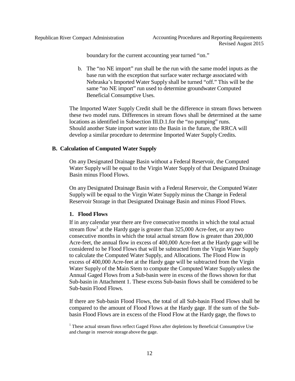boundary for the current accounting year turned "on."

b. The "no NE import" run shall be the run with the same model inputs as the base run with the exception that surface water recharge associated with Nebraska's Imported Water Supply shall be turned "off." This will be the same "no NE import" run used to determine groundwater Computed Beneficial Consumptive Uses.

The Imported Water Supply Credit shall be the difference in stream flows between these two model runs. Differences in stream flows shall be determined at the same locations as identified in Subsection III.D.1.for the "no pumping" runs. Should another State import water into the Basin in the future, the RRCA will develop a similar procedure to determine Imported Water SupplyCredits.

#### **B. Calculation of Computed Water Supply**

On any Designated Drainage Basin without a Federal Reservoir, the Computed Water Supply will be equal to the Virgin Water Supply of that Designated Drainage Basin minus Flood Flows.

On any Designated Drainage Basin with a Federal Reservoir, the Computed Water Supplywill be equal to the Virgin Water Supply minus the Change in Federal Reservoir Storage in that Designated Drainage Basin and minus Flood Flows.

#### **1. Flood Flows**

If in any calendar year there are five consecutive months in which the total actual stream flow<sup>1</sup> at the Hardy gage is greater than  $325,000$  Acre-feet, or any two consecutive months in which the total actual stream flow is greater than 200,000 Acre-feet, the annual flow in excess of 400,000 Acre-feet at the Hardy gage will be considered to be Flood Flows that will be subtracted from the Virgin Water Supply to calculate the Computed Water Supply, and Allocations. The Flood Flow in excess of 400,000 Acre-feet at the Hardy gage will be subtracted from the Virgin Water Supply of the Main Stem to compute the Computed Water Supply unless the Annual Gaged Flows from a Sub-basin were in excess of the flows shown for that Sub-basin in Attachment 1. These excess Sub-basin flows shall be considered to be Sub-basin Flood Flows.

If there are Sub-basin Flood Flows, the total of all Sub-basin Flood Flows shall be compared to the amount of Flood Flows at the Hardy gage. If the sum of the Subbasin Flood Flows are in excess of the Flood Flow at the Hardy gage, the flows to

 $<sup>1</sup>$  These actual stream flows reflect Gaged Flows after depletions by Beneficial Consumptive Use</sup> and change in reservoir storage above the gage.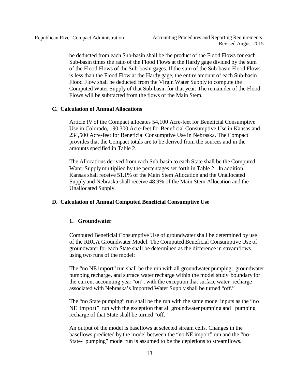be deducted from each Sub-basin shall be the product of the Flood Flows for each Sub-basin times the ratio of the Flood Flows at the Hardy gage divided by the sum of the Flood Flows of the Sub-basin gages. If the sum of the Sub-basin Flood Flows is less than the Flood Flow at the Hardy gage, the entire amount of each Sub-basin Flood Flow shall be deducted from the Virgin Water Supply to compute the Computed Water Supply of that Sub-basin for that year. The remainder of the Flood Flows will be subtracted from the flows of the Main Stem.

#### **C. Calculation of Annual Allocations**

Article IV of the Compact allocates 54,100 Acre-feet for Beneficial Consumptive Use in Colorado, 190,300 Acre-feet for Beneficial Consumptive Use in Kansas and 234,500 Acre-feet for Beneficial Consumptive Use in Nebraska. The Compact provides that the Compact totals are to be derived from the sources and in the amounts specified in Table 2.

The Allocations derived from each Sub-basin to each State shall be the Computed Water Supply multiplied by the percentages set forth in Table 2. In addition, Kansas shall receive 51.1% of the Main Stem Allocation and the Unallocated Supply and Nebraska shall receive 48.9% of the Main Stem Allocation and the Unallocated Supply.

#### **D. Calculation of Annual Computed Beneficial Consumptive Use**

#### **1. Groundwater**

Computed Beneficial Consumptive Use of groundwater shall be determined by use of the RRCA Groundwater Model. The Computed Beneficial Consumptive Use of groundwater for each State shall be determined as the difference in streamflows using two runs of the model:

The "no NE import" run shall be the run with all groundwater pumping, groundwater pumping recharge, and surface water recharge within the model study boundary for the current accounting year "on", with the exception that surface water recharge associated with Nebraska's Imported Water Supply shall be turned "off."

The "no State pumping" run shall be the run with the same model inputs as the "no NE import" run with the exception that all groundwater pumping and pumping recharge of that State shall be turned "off."

An output of the model is baseflows at selected stream cells. Changes in the baseflows predicted by the model between the "no NE import" run and the "no-State- pumping" model run is assumed to be the depletions to streamflows.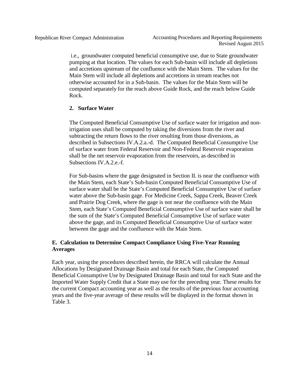i.e., groundwater computed beneficial consumptive use, due to State groundwater pumping at that location. The values for each Sub-basin will include all depletions and accretions upstream of the confluence with the Main Stem. The values for the Main Stem will include all depletions and accretions in stream reaches not otherwise accounted for in a Sub-basin. The values for the Main Stem will be computed separately for the reach above Guide Rock, and the reach below Guide Rock.

#### <span id="page-13-0"></span>**2. Surface Water**

The Computed Beneficial Consumptive Use of surface water for irrigation and nonirrigation uses shall be computed by taking the diversions from the river and subtracting the return flows to the river resulting from those diversions, as described in Subsections IV.A.2.a.-d. The Computed Beneficial Consumptive Use of surface water from Federal Reservoir and Non-Federal Reservoir evaporation shall be the net reservoir evaporation from the reservoirs, as described in Subsections IV.A.2.e.-f.

For Sub-basins where the gage designated in Section II. is near the confluence with the Main Stem, each State's Sub-basin Computed Beneficial Consumptive Use of surface water shall be the State's Computed Beneficial Consumptive Use of surface water above the Sub-basin gage. For Medicine Creek, Sappa Creek, Beaver Creek and Prairie Dog Creek, where the gage is not near the confluence with the Main Stem, each State's Computed Beneficial Consumptive Use of surface water shall be the sum of the State's Computed Beneficial Consumptive Use of surface water above the gage, and its Computed Beneficial Consumptive Use of surface water between the gage and the confluence with the Main Stem.

## <span id="page-13-1"></span>**E. Calculation to Determine Compact Compliance Using Five-Year Running Averages**

Each year, using the procedures described herein, the RRCA will calculate the Annual Allocations by Designated Drainage Basin and total for each State, the Computed Beneficial Consumptive Use by Designated Drainage Basin and total for each State and the Imported Water Supply Credit that a State may use for the preceding year. These results for the current Compact accounting year as well as the results of the previous four accounting years and the five-year average of these results will be displayed in the format shown in Table 3.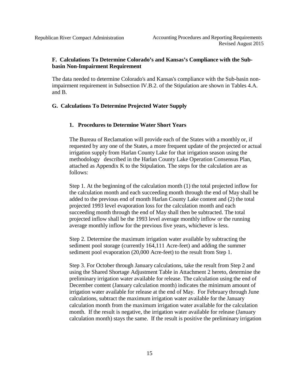## <span id="page-14-0"></span>**F. Calculations To Determine Colorado's and Kansas's Compliance with the Subbasin Non-Impairment Requirement**

The data needed to determine Colorado's and Kansas's compliance with the Sub-basin nonimpairment requirement in Subsection IV.B.2. of the Stipulation are shown in Tables 4.A. and B.

#### <span id="page-14-2"></span><span id="page-14-1"></span>**G. Calculations To Determine Projected Water Supply**

#### **1. Procedures to Determine Water Short Years**

The Bureau of Reclamation will provide each of the States with a monthly or, if requested by any one of the States, a more frequent update of the projected or actual irrigation supply from Harlan County Lake for that irrigation season using the methodology described in the Harlan County Lake Operation Consensus Plan, attached as Appendix K to the Stipulation. The steps for the calculation are as follows:

Step 1. At the beginning of the calculation month (1) the total projected inflow for the calculation month and each succeeding month through the end of May shall be added to the previous end of month Harlan County Lake content and (2) the total projected 1993 level evaporation loss for the calculation month and each succeeding month through the end of May shall then be subtracted. The total projected inflow shall be the 1993 level average monthly inflow or the running average monthly inflow for the previous five years, whichever is less.

Step 2. Determine the maximum irrigation water available by subtracting the sediment pool storage (currently 164,111 Acre-feet) and adding the summer sediment pool evaporation (20,000 Acre-feet) to the result from Step 1.

Step 3. For October through January calculations, take the result from Step 2 and using the Shared Shortage Adjustment Table in Attachment 2 hereto, determine the preliminary irrigation water available for release. The calculation using the end of December content (January calculation month) indicates the minimum amount of irrigation water available for release at the end of May. For February through June calculations, subtract the maximum irrigation water available for the January calculation month from the maximum irrigation water available for the calculation month. If the result is negative, the irrigation water available for release (January calculation month) stays the same. If the result is positive the preliminary irrigation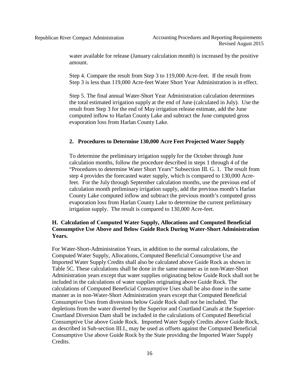water available for release (January calculation month) is increased by the positive amount.

Step 4. Compare the result from Step 3 to 119,000 Acre-feet. If the result from Step 3 is less than 119,000 Acre-feet Water Short Year Administration is in effect.

Step 5. The final annual Water-Short Year Administration calculation determines the total estimated irrigation supply at the end of June (calculated in July). Use the result from Step 3 for the end of May irrigation release estimate, add the June computed inflow to Harlan County Lake and subtract the June computed gross evaporation loss from Harlan County Lake.

#### <span id="page-15-0"></span>**2. Procedures to Determine 130,000 Acre Feet Projected Water Supply**

To determine the preliminary irrigation supply for the October through June calculation months, follow the procedure described in steps 1 through 4 of the "Procedures to determine Water Short Years" Subsection III. G. 1. The result from step 4 provides the forecasted water supply, which is compared to 130,000 Acrefeet. For the July through September calculation months, use the previous end of calculation month preliminary irrigation supply, add the previous month's Harlan County Lake computed inflow and subtract the previous month's computed gross evaporation loss from Harlan County Lake to determine the current preliminary irrigation supply. The result is compared to 130,000 Acre-feet.

## <span id="page-15-1"></span>**H. Calculation of Computed Water Supply, Allocations and Computed Beneficial Consumptive Use Above and Below Guide Rock During Water-Short Administration Years.**

For Water-Short-Administration Years, in addition to the normal calculations, the Computed Water Supply, Allocations, Computed Beneficial Consumptive Use and Imported Water Supply Credits shall also be calculated above Guide Rock as shown in Table 5C. These calculations shall be done in the same manner as in non-Water-Short Administration years except that water supplies originating below Guide Rock shall not be included in the calculations of water supplies originating above Guide Rock. The calculations of Computed Beneficial Consumptive Uses shall be also done in the same manner as in non-Water-Short Administration years except that Computed Beneficial Consumptive Uses from diversions below Guide Rock shall not be included. The depletions from the water diverted by the Superior and Courtland Canals at the Superior-Courtland Diversion Dam shall be included in the calculations of Computed Beneficial Consumptive Use above Guide Rock. Imported Water Supply Credits above Guide Rock, as described in Sub-section III.I., may be used as offsets against the Computed Beneficial Consumptive Use above Guide Rock by the State providing the Imported Water Supply Credits.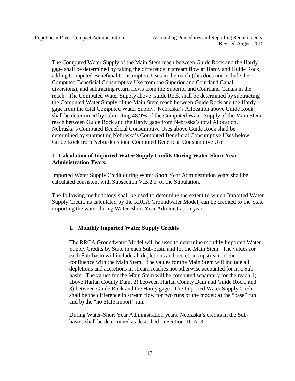The Computed Water Supply of the Main Stem reach between Guide Rock and the Hardy gage shall be determined by taking the difference in stream flow at Hardy and Guide Rock, adding Computed Beneficial Consumptive Uses in the reach (this does not include the Computed Beneficial Consumptive Use from the Superior and Courtland Canal diversions), and subtracting return flows from the Superior and Courtland Canals in the reach. The Computed Water Supply above Guide Rock shall be determined by subtracting the Computed Water Supply of the Main Stem reach between Guide Rock and the Hardy gage from the total Computed Water Supply. Nebraska's Allocation above Guide Rock shall be determined by subtracting 48.9% of the Computed Water Supply of the Main Stem reach between Guide Rock and the Hardy gage from Nebraska's total Allocation. Nebraska's Computed Beneficial Consumptive Uses above Guide Rock shall be determined by subtracting Nebraska's Computed Beneficial Consumptive Uses below Guide Rock from Nebraska's total Computed Beneficial Consumptive Use.

## <span id="page-16-0"></span>**I. Calculation of Imported Water Supply Credits During Water-Short Year Administration Years.**

Imported Water Supply Credit during Water-Short Year Administration years shall be calculated consistent with Subsection V.B.2.b. of the Stipulation.

The following methodology shall be used to determine the extent to which Imported Water Supply Credit, as calculated by the RRCA Groundwater Model, can be credited to the State importing the water during Water-Short Year Administration years.

## <span id="page-16-1"></span>**1. Monthly Imported Water Supply Credits**

The RRCA Groundwater Model will be used to determine monthly Imported Water SupplyCredits by State in each Sub-basin and for the Main Stem. The values for each Sub-basin will include all depletions and accretions upstream of the confluence with the Main Stem. The values for the Main Stem will include all depletions and accretions in stream reaches not otherwise accounted for in a Subbasin. The values for the Main Stem will be computed separately for the reach 1) above Harlan County Dam, 2) between Harlan County Dam and Guide Rock, and 3) between Guide Rock and the Hardy gage. The Imported Water Supply Credit shall be the difference in stream flow for two runs of the model: a) the "base" run and b) the "no State import" run.

During Water-Short Year Administration years, Nebraska's credits in the Subbasins shall be determined as described in Section III. A. 3.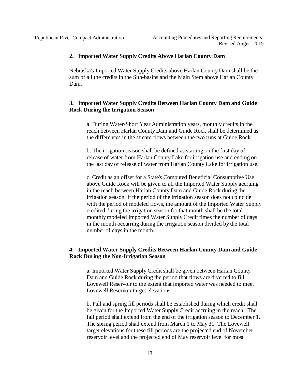#### <span id="page-17-0"></span>**2. Imported Water Supply Credits Above Harlan County Dam**

Nebraska's Imported Water Supply Credits above Harlan County Dam shall be the sum of all the credits in the Sub-basins and the Main Stem above Harlan County Dam.

## <span id="page-17-1"></span>**3. Imported Water Supply Credits Between Harlan County Dam and Guide Rock During the Irrigation Season**

a. During Water-Short Year Administration years, monthly credits in the reach between Harlan County Dam and Guide Rock shall be determined as the differences in the stream flows between the two runs at Guide Rock.

b. The irrigation season shall be defined as starting on the first day of release of water from Harlan County Lake for irrigation use and ending on the last day of release of water from Harlan County Lake for irrigation use.

c. Credit as an offset for a State's Computed Beneficial Consumptive Use above Guide Rock will be given to all the Imported Water Supply accruing in the reach between Harlan County Dam and Guide Rock during the irrigation season. If the period of the irrigation season does not coincide with the period of modeled flows, the amount of the Imported Water Supply credited during the irrigation season for that month shall be the total monthly modeled Imported Water Supply Credit times the number of days in the month occurring during the irrigation season divided by the total number of days in the month.

## <span id="page-17-2"></span>**4. Imported Water Supply Credits Between Harlan County Dam and Guide Rock During the Non-Irrigation Season**

a. Imported Water Supply Credit shall be given between Harlan County Dam and Guide Rock during the period that flows are diverted to fill Lovewell Reservoir to the extent that imported water was needed to meet Lovewell Reservoir target elevations.

b. Fall and spring fill periods shall be established during which credit shall be given for the Imported Water Supply Credit accruing in the reach. The fall period shall extend from the end of the irrigation season to December 1. The spring period shall extend from March 1 to May 31. The Lovewell target elevations for these fill periods are the projected end of November reservoir level and the projected end of May reservoir level for most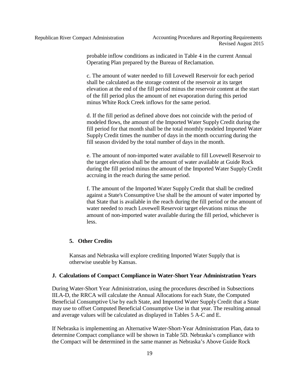probable inflow conditions as indicated in Table 4 in the current Annual Operating Plan prepared by the Bureau of Reclamation.

c. The amount of water needed to fill Lovewell Reservoir for each period shall be calculated as the storage content of the reservoir at its target elevation at the end of the fill period minus the reservoir content at the start of the fill period plus the amount of net evaporation during this period minus White Rock Creek inflows for the same period.

d. If the fill period as defined above does not coincide with the period of modeled flows, the amount of the Imported Water SupplyCredit during the fill period for that month shall be the total monthly modeled Imported Water SupplyCredit times the number of days in the month occurring during the fill season divided by the total number of days in the month.

e. The amount of non-imported water available to fill Lovewell Reservoir to the target elevation shall be the amount of water available at Guide Rock during the fill period minus the amount of the Imported Water Supply Credit accruing in the reach during the same period.

f. The amount of the Imported Water Supply Credit that shall be credited against a State's Consumptive Use shall be the amount of water imported by that State that is available in the reach during the fill period or the amount of water needed to reach Lovewell Reservoir target elevations minus the amount of non-imported water available during the fill period, whichever is less.

## <span id="page-18-0"></span>**5. Other Credits**

Kansas and Nebraska will explore crediting Imported Water Supply that is otherwise useable by Kansas.

### <span id="page-18-1"></span>**J. Calculations of Compact Compliance in Water-Short Year Administration Years**

During Water-Short Year Administration, using the procedures described in Subsections III.A-D, the RRCA will calculate the Annual Allocations for each State, the Computed Beneficial Consumptive Use by each State, and Imported Water Supply Credit that a State may use to offset Computed Beneficial Consumptive Use in that year. The resulting annual and average values will be calculated as displayed in Tables 5 A-C and E.

If Nebraska is implementing an Alternative Water-Short-Year Administration Plan, data to determine Compact compliance will be shown in Table 5D. Nebraska's compliance with the Compact will be determined in the same manner as Nebraska's Above Guide Rock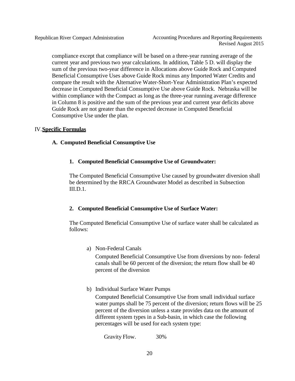compliance except that compliance will be based on a three-year running average of the current year and previous two year calculations. In addition, Table 5 D. will display the sum of the previous two-year difference in Allocations above Guide Rock and Computed Beneficial Consumptive Uses above Guide Rock minus any Imported Water Credits and compare the result with the Alternative Water-Short-Year Administration Plan's expected decrease in Computed Beneficial Consumptive Use above Guide Rock. Nebraska will be within compliance with the Compact as long as the three-year running average difference in Column 8 is positive and the sum of the previous year and current year deficits above Guide Rock are not greater than the expected decrease in Computed Beneficial Consumptive Use under the plan.

## <span id="page-19-1"></span><span id="page-19-0"></span>IV.**Specific Formulas**

## <span id="page-19-2"></span>**A. Computed Beneficial Consumptive Use**

## **1. Computed Beneficial Consumptive Use of Groundwater:**

The Computed Beneficial Consumptive Use caused by groundwater diversion shall be determined by the RRCA Groundwater Model as described in Subsection III.D.1.

## <span id="page-19-3"></span>**2. Computed Beneficial Consumptive Use of Surface Water:**

The Computed Beneficial Consumptive Use of surface water shall be calculated as follows:

a) Non-Federal Canals

Computed Beneficial Consumptive Use from diversions by non- federal canals shall be 60 percent of the diversion; the return flow shall be 40 percent of the diversion

b) Individual Surface Water Pumps

Computed Beneficial Consumptive Use from small individual surface water pumps shall be 75 percent of the diversion; return flows will be 25 percent of the diversion unless a state provides data on the amount of different system types in a Sub-basin, in which case the following percentages will be used for each system type:

Gravity Flow. 30%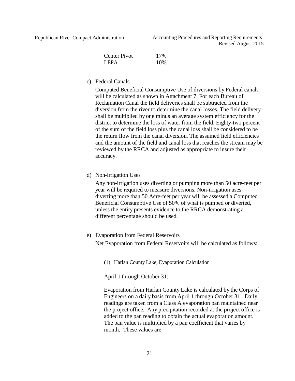| <b>Center Pivot</b> | 17% |
|---------------------|-----|
| LEPA                | 10% |

c) Federal Canals

Computed Beneficial Consumptive Use of diversions by Federal canals will be calculated as shown in Attachment 7. For each Bureau of Reclamation Canal the field deliveries shall be subtracted from the diversion from the river to determine the canal losses. The field delivery shall be multiplied by one minus an average system efficiency for the district to determine the loss of water from the field. Eighty-two percent of the sum of the field loss plus the canal loss shall be considered to be the return flow from the canal diversion. The assumed field efficiencies and the amount of the field and canal loss that reaches the stream may be reviewed by the RRCA and adjusted as appropriate to insure their accuracy.

d) Non-irrigation Uses

Any non-irrigation uses diverting or pumping more than 50 acre-feet per year will be required to measure diversions. Non-irrigation uses diverting more than 50 Acre-feet per year will be assessed a Computed Beneficial Consumptive Use of 50% of what is pumped or diverted, unless the entity presents evidence to the RRCA demonstrating a different percentage should be used.

#### e) Evaporation from Federal Reservoirs

Net Evaporation from Federal Reservoirs will be calculated as follows:

(1) Harlan County Lake, Evaporation Calculation

April 1 through October 31:

Evaporation from Harlan County Lake is calculated by the Corps of Engineers on a daily basis from April 1 through October 31. Daily readings are taken from a Class A evaporation pan maintained near the project office. Any precipitation recorded at the project office is added to the pan reading to obtain the actual evaporation amount. The pan value is multiplied by a pan coefficient that varies by month. These values are: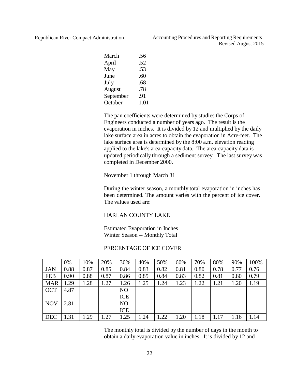| March     | .56  |
|-----------|------|
| April     | .52  |
| May       | .53  |
| June      | .60  |
| July      | .68  |
| August    | .78  |
| September | .91  |
| October   | 1.01 |

The pan coefficients were determined by studies the Corps of Engineers conducted a number of years ago. The result is the evaporation in inches. It is divided by 12 and multiplied by the daily lake surface area in acres to obtain the evaporation in Acre-feet. The lake surface area is determined by the 8:00 a.m. elevation reading applied to the lake's area-capacity data. The area-capacity data is updated periodically through a sediment survey. The last survey was completed in December 2000.

#### November 1 through March 31

During the winter season, a monthly total evaporation in inches has been determined. The amount varies with the percent of ice cover. The values used are:

#### HARLAN COUNTY LAKE

Estimated Evaporation in Inches Winter Season -- Monthly Total

#### PERCENTAGE OF ICE COVER

|            | 0%   | 10%  | 20%  | 30%            | 40%  | 50%  | 60%  | 70%  | 80%  | 90%  | 100% |
|------------|------|------|------|----------------|------|------|------|------|------|------|------|
| <b>JAN</b> | 0.88 | 0.87 | 0.85 | 0.84           | 0.83 | 0.82 | 0.81 | 0.80 | 0.78 | 0.77 | 0.76 |
| <b>FEB</b> | 0.90 | 0.88 | 0.87 | 0.86           | 0.85 | 0.84 | 0.83 | 0.82 | 0.81 | 0.80 | 0.79 |
| <b>MAR</b> | 1.29 | 1.28 | 1.27 | 1.26           | .25  | 1.24 | 1.23 | 1.22 | 1.21 | 1.20 | 1.19 |
| <b>OCT</b> | 4.87 |      |      | N <sub>O</sub> |      |      |      |      |      |      |      |
|            |      |      |      | ICE            |      |      |      |      |      |      |      |
| <b>NOV</b> | 2.81 |      |      | N <sub>O</sub> |      |      |      |      |      |      |      |
|            |      |      |      | ICE            |      |      |      |      |      |      |      |
| <b>DEC</b> | 1.31 | 1.29 | 1.27 | 1.25           | .24  | 1.22 | 1.20 | 1.18 | 1.17 | 1.16 | 1.14 |

The monthly total is divided by the number of days in the month to obtain a daily evaporation value in inches. It is divided by 12 and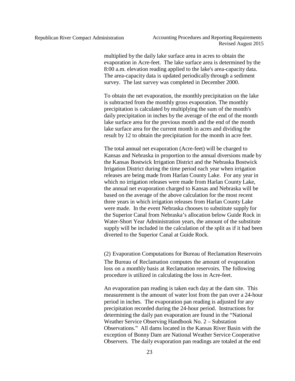multiplied by the daily lake surface area in acres to obtain the evaporation in Acre-feet. The lake surface area is determined by the 8:00 a.m. elevation reading applied to the lake's area-capacity data. The area-capacity data is updated periodically through a sediment survey. The last survey was completed in December 2000.

To obtain the net evaporation, the monthly precipitation on the lake is subtracted from the monthly gross evaporation. The monthly precipitation is calculated by multiplying the sum of the month's daily precipitation in inches by the average of the end of the month lake surface area for the previous month and the end of the month lake surface area for the current month in acres and dividing the result by 12 to obtain the precipitation for the month in acre feet.

The total annual net evaporation (Acre-feet) will be charged to Kansas and Nebraska in proportion to the annual diversions made by the Kansas Bostwick Irrigation District and the Nebraska Bostwick Irrigation District during the time period each year when irrigation releases are being made from Harlan County Lake. For any year in which no irrigation releases were made from Harlan County Lake, the annual net evaporation charged to Kansas and Nebraska will be based on the average of the above calculation for the most recent three years in which irrigation releases from Harlan County Lake were made. In the event Nebraska chooses to substitute supply for the Superior Canal from Nebraska's allocation below Guide Rock in Water-Short Year Administration years, the amount of the substitute supply will be included in the calculation of the split as if it had been diverted to the Superior Canal at Guide Rock.

(2) Evaporation Computations for Bureau of Reclamation Reservoirs

The Bureau of Reclamation computes the amount of evaporation loss on a monthly basis at Reclamation reservoirs. The following procedure is utilized in calculating the loss in Acre-feet.

An evaporation pan reading is taken each day at the dam site. This measurement is the amount of water lost from the pan over a 24-hour period in inches. The evaporation pan reading is adjusted for any precipitation recorded during the 24-hour period. Instructions for determining the daily pan evaporation are found in the "National Weather Service Observing Handbook No. 2 – Substation Observations." All dams located in the Kansas River Basin with the exception of Bonny Dam are National Weather Service Cooperative Observers. The daily evaporation pan readings are totaled at the end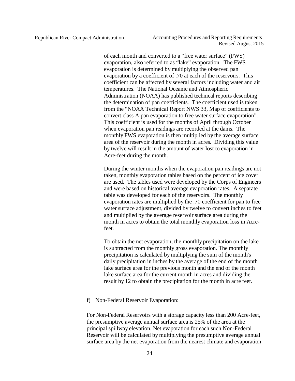of each month and converted to a "free water surface" (FWS) evaporation, also referred to as "lake" evaporation. The FWS evaporation is determined by multiplying the observed pan evaporation by a coefficient of .70 at each of the reservoirs. This coefficient can be affected by several factors including water and air temperatures. The National Oceanic and Atmospheric Administration (NOAA) has published technical reports describing the determination of pan coefficients. The coefficient used is taken from the "NOAA Technical Report NWS 33, Map of coefficients to convert class A pan evaporation to free water surface evaporation". This coefficient is used for the months of April through October when evaporation pan readings are recorded at the dams. The monthly FWS evaporation is then multiplied by the average surface area of the reservoir during the month in acres. Dividing this value by twelve will result in the amount of water lost to evaporation in Acre-feet during the month.

During the winter months when the evaporation pan readings are not taken, monthly evaporation tables based on the percent of ice cover are used. The tables used were developed by the Corps of Engineers and were based on historical average evaporation rates. A separate table was developed for each of the reservoirs. The monthly evaporation rates are multiplied by the .70 coefficient for pan to free water surface adjustment, divided by twelve to convert inches to feet and multiplied by the average reservoir surface area during the month in acres to obtain the total monthly evaporation loss in Acrefeet.

To obtain the net evaporation, the monthly precipitation on the lake is subtracted from the monthly gross evaporation. The monthly precipitation is calculated by multiplying the sum of the month's daily precipitation in inches by the average of the end of the month lake surface area for the previous month and the end of the month lake surface area for the current month in acres and dividing the result by 12 to obtain the precipitation for the month in acre feet.

f) Non-Federal Reservoir Evaporation:

For Non-Federal Reservoirs with a storage capacity less than 200 Acre-feet, the presumptive average annual surface area is 25% of the area at the principal spillway elevation. Net evaporation for each such Non-Federal Reservoir will be calculated by multiplying the presumptive average annual surface area by the net evaporation from the nearest climate and evaporation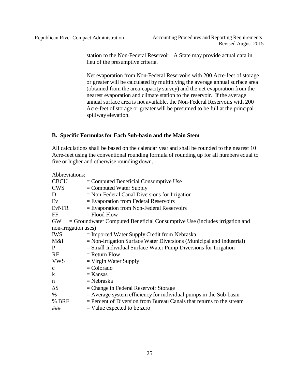station to the Non-Federal Reservoir. A State may provide actual data in lieu of the presumptive criteria.

Net evaporation from Non-Federal Reservoirs with 200 Acre-feet of storage or greater will be calculated by multiplying the average annual surface area (obtained from the area-capacity survey) and the net evaporation from the nearest evaporation and climate station to the reservoir. If the average annual surface area is not available, the Non-Federal Reservoirs with 200 Acre-feet of storage or greater will be presumed to be full at the principal spillway elevation.

### <span id="page-24-0"></span>**B. Specific Formulas for Each Sub-basin and the Main Stem**

All calculations shall be based on the calendar year and shall be rounded to the nearest 10 Acre-feet using the conventional rounding formula of rounding up for all numbers equal to five or higher and otherwise rounding down.

| Abbreviations:       |                                                                              |
|----------------------|------------------------------------------------------------------------------|
| <b>CBCU</b>          | $=$ Computed Beneficial Consumptive Use                                      |
| <b>CWS</b>           | $=$ Computed Water Supply                                                    |
| D                    | $=$ Non-Federal Canal Diversions for Irrigation                              |
| Ev                   | $=$ Evaporation from Federal Reservoirs                                      |
| <b>EvNFR</b>         | $=$ Evaporation from Non-Federal Reservoirs                                  |
| FF                   | $=$ Flood Flow                                                               |
| <b>GW</b>            | $=$ Groundwater Computed Beneficial Consumptive Use (includes irrigation and |
| non-irrigation uses) |                                                                              |
| <b>IWS</b>           | $=$ Imported Water Supply Credit from Nebraska                               |
| M&I                  | $=$ Non-Irrigation Surface Water Diversions (Municipal and Industrial)       |
| P                    | $=$ Small Individual Surface Water Pump Diversions for Irrigation            |
| RF                   | $=$ Return Flow                                                              |
| <b>VWS</b>           | $=$ Virgin Water Supply                                                      |
| $\mathbf{C}$         | $=$ Colorado                                                                 |
| $\bf k$              | $=$ Kansas                                                                   |
| n                    | $=$ Nebraska                                                                 |
| $\Delta S$           | $=$ Change in Federal Reservoir Storage                                      |
| $\%$                 | $=$ Average system efficiency for individual pumps in the Sub-basin          |
| % BRF                | $=$ Percent of Diversion from Bureau Canals that returns to the stream       |
| ###                  | $=$ Value expected to be zero                                                |
|                      |                                                                              |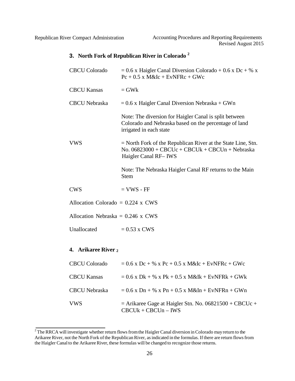## **3. North Fork of Republican River in Colorado <sup>2</sup>**

| <b>CBCU</b> Colorado                | $= 0.6$ x Haigler Canal Diversion Colorado + 0.6 x Dc + % x<br>$Pc + 0.5$ x M&Ic + EvNFRc + GWc                                              |  |
|-------------------------------------|----------------------------------------------------------------------------------------------------------------------------------------------|--|
| <b>CBCU Kansas</b>                  | $=$ GW $k$                                                                                                                                   |  |
| <b>CBCU</b> Nebraska                | $= 0.6$ x Haigler Canal Diversion Nebraska + GWn                                                                                             |  |
|                                     | Note: The diversion for Haigler Canal is split between<br>Colorado and Nebraska based on the percentage of land<br>irrigated in each state   |  |
| <b>VWS</b>                          | $=$ North Fork of the Republican River at the State Line, Stn.<br>No. $06823000 + CBC$ Uc + CBCUk + CBCUn + Nebraska<br>Haigler Canal RF-IWS |  |
|                                     | Note: The Nebraska Haigler Canal RF returns to the Main<br><b>Stem</b>                                                                       |  |
| <b>CWS</b>                          | $=$ VWS - FF                                                                                                                                 |  |
| Allocation Colorado = $0.224$ x CWS |                                                                                                                                              |  |
| Allocation Nebraska = $0.246$ x CWS |                                                                                                                                              |  |
| Unallocated                         | $= 0.53$ x CWS                                                                                                                               |  |
| 4. Arikaree River 2                 |                                                                                                                                              |  |
| <b>CBCU</b> Colorado                | $= 0.6$ x Dc + % x Pc + 0.5 x M&Ic + EvNFRc + GWc                                                                                            |  |
| <b>CBCU Kansas</b>                  | $= 0.6$ x Dk + % x Pk + 0.5 x M&Ik + EvNFRk + GWk                                                                                            |  |
| <b>CBCU</b> Nebraska                | $= 0.6$ x Dn + % x Pn + 0.5 x M&In + EvNFRn + GWn                                                                                            |  |
| <b>VWS</b>                          | $=$ Arikaree Gage at Haigler Stn. No. 06821500 + CBCUc +                                                                                     |  |

 $CBCUk + CBCUn - IWS$ 

<span id="page-25-0"></span><sup>&</sup>lt;sup>2</sup>The RRCA will investigate whether return flows from the Haigler Canal diversion in Colorado may return to the Arikaree River, not the North Fork of the Republican River, as indicated in the formulas. If there are return flows from the Haigler Canal to the Arikaree River, these formulas will be changed to recognize those returns.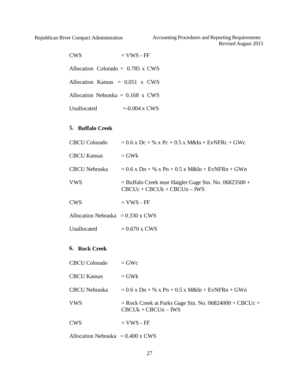Republican River Compact Administration Accounting Procedures and Reporting Requirements Revised August 2015

| <b>CWS</b>  | $=$ VWS - FF                             |
|-------------|------------------------------------------|
|             | Allocation Colorado = $0.785 \times$ CWS |
|             | Allocation Kansas $= 0.051$ x CWS        |
|             | Allocation Nebraska = $0.168$ x CWS      |
| Unallocated | $= 0.004$ x CWS                          |

## <span id="page-26-0"></span>**5. Buffalo Creek**

| <b>CBCU Colorado</b>                     | $= 0.6$ x Dc + % x Pc + 0.5 x M&In + EvNFRc + GWc                                        |
|------------------------------------------|------------------------------------------------------------------------------------------|
| <b>CBCU Kansas</b>                       | $=$ GW <sub>k</sub>                                                                      |
| CBCU Nebraska                            | $= 0.6$ x Dn + % x Pn + 0.5 x M&In + EvNFRn + GWn                                        |
| VWS                                      | $=$ Buffalo Creek near Haigler Gage Stn. No. 06823500 +<br>$CBCUc + CBCUk + CBCUn - IWS$ |
| <b>CWS</b>                               | $=$ VWS - FF                                                                             |
| Allocation Nebraska = $0.330 \times$ CWS |                                                                                          |
| Unallocated                              | $= 0.670$ x CWS                                                                          |

## <span id="page-26-1"></span>**6. Rock Creek**

| CBCU Colorado      | $=$ GWc                                                                           |
|--------------------|-----------------------------------------------------------------------------------|
| <b>CBCU Kansas</b> | $=$ GW <sub>k</sub>                                                               |
| CBCU Nebraska      | $= 0.6$ x Dn + % x Pn + 0.5 x M&In + EvNFRn + GWn                                 |
| <b>VWS</b>         | $=$ Rock Creek at Parks Gage Stn. No. 06824000 + CBCUc +<br>$CBCUk + CBCUn - IWS$ |
| <b>CWS</b>         | $=$ VWS - FF                                                                      |
|                    |                                                                                   |

Allocation Nebraska =  $0.400 \times$  CWS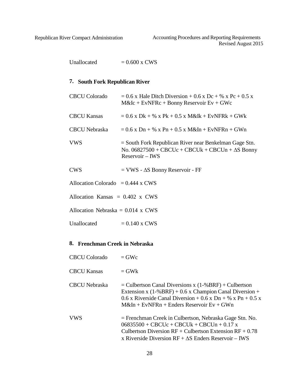Republican River Compact Administration Accounting Procedures and Reporting Requirements Revised August 2015

Unallocated  $= 0.600 \times \text{CWS}$ 

#### <span id="page-27-0"></span>**7. South Fork Republican River**

| <b>CBCU Colorado</b>                | $= 0.6$ x Hale Ditch Diversion + 0.6 x Dc + % x Pc + 0.5 x<br>$M\&Ic + EvNFRc + Bonny Reservoir Ev + GWc$                                |
|-------------------------------------|------------------------------------------------------------------------------------------------------------------------------------------|
| <b>CBCU Kansas</b>                  | $= 0.6$ x Dk + % x Pk + 0.5 x M&Ik + EvNFRk + GWk                                                                                        |
| CBCU Nebraska                       | $= 0.6$ x Dn + % x Pn + 0.5 x M&In + EvNFRn + GWn                                                                                        |
| <b>VWS</b>                          | $=$ South Fork Republican River near Benkelman Gage Stn.<br>No. $06827500 + CBCUc + CBCUk + CBCUn + \Delta S Bonny$<br>$Reservoir - IWS$ |
| <b>CWS</b>                          | $=$ VWS - $\Delta S$ Bonny Reservoir - FF                                                                                                |
| Allocation Colorado = $0.444$ x CWS |                                                                                                                                          |
| Allocation Kansas $= 0.402$ x CWS   |                                                                                                                                          |
| Allocation Nebraska = $0.014$ x CWS |                                                                                                                                          |
| Unallocated                         | $= 0.140$ x CWS                                                                                                                          |

#### **8. Frenchman Creek in Nebraska**

- $CBCU$  Kansas  $= GWk$
- CBCU Nebraska  $=$  Culbertson Canal Diversions x (1-%BRF) + Culbertson Extension x  $(1-%BRF) + 0.6$  x Champion Canal Diversion + 0.6 x Riverside Canal Diversion + 0.6 x Dn + % x Pn + 0.5 x  $M&In + EvNFRn + Enders Reservoir Ev + GWn$
- VWS = Frenchman Creek in Culbertson, Nebraska Gage Stn. No.  $06835500 + CBC$ Uc + CBCUk + CBCUn + 0.17 x Culbertson Diversion  $RF +$  Culbertson Extension  $RF + 0.78$ x Riverside Diversion RF + ∆S Enders Reservoir – IWS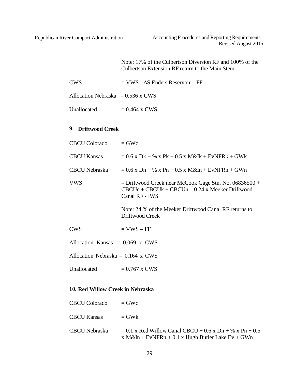Note: 17% of the Culbertson Diversion RF and 100% of the Culbertson Extension RF return to the Main Stem

| CWS | $=$ VWS - $\Delta S$ Enders Reservoir – FF |
|-----|--------------------------------------------|
|     |                                            |

| Unallocated | $= 0.464$ x CWS |
|-------------|-----------------|
|-------------|-----------------|

## <span id="page-28-0"></span>**9. Driftwood Creek**

| CBCU Colorado                       | $=$ GWc                                                                                                                         |
|-------------------------------------|---------------------------------------------------------------------------------------------------------------------------------|
| CBCU Kansas                         | $= 0.6$ x Dk + % x Pk + 0.5 x M&Ik + EvNFRk + GWk                                                                               |
| CBCU Nebraska                       | $= 0.6$ x Dn + % x Pn + 0.5 x M&In + EvNFRn + GWn                                                                               |
| <b>VWS</b>                          | $=$ Driftwood Creek near McCook Gage Stn. No. 06836500 +<br>$CBCUc + CBCUk + CBCUn - 0.24$ x Meeker Driftwood<br>Canal RF - IWS |
|                                     | Note: 24 % of the Meeker Driftwood Canal RF returns to<br>Driftwood Creek                                                       |
| CWS                                 | $=$ VWS $-$ FF                                                                                                                  |
| Allocation Kansas $= 0.069$ x CWS   |                                                                                                                                 |
| Allocation Nebraska = $0.164$ x CWS |                                                                                                                                 |
| Unallocated                         | $= 0.767$ x CWS                                                                                                                 |

## **10. Red Willow Creek in Nebraska**

| CBCU Colorado      | $=$ GWc                                                                                                        |
|--------------------|----------------------------------------------------------------------------------------------------------------|
| <b>CBCU Kansas</b> | $=$ GWk                                                                                                        |
| CBCU Nebraska      | $= 0.1$ x Red Willow Canal CBCU + 0.6 x Dn + % x Pn + 0.5<br>x M&In + EvNFRn + 0.1 x Hugh Butler Lake Ev + GWn |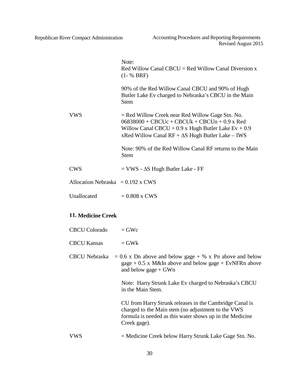|                                     | Note:<br>$Red$ Willow Canal CBCU = Red Willow Canal Diversion x<br>$(1 - % BRF)$                                                                                                                                           |
|-------------------------------------|----------------------------------------------------------------------------------------------------------------------------------------------------------------------------------------------------------------------------|
|                                     | 90% of the Red Willow Canal CBCU and 90% of Hugh<br>Butler Lake Ev charged to Nebraska's CBCU in the Main<br><b>Stem</b>                                                                                                   |
| <b>VWS</b>                          | $=$ Red Willow Creek near Red Willow Gage Stn. No.<br>$06838000 + CBC$ Uc + CBCUk + CBCUn + 0.9 x Red<br>Willow Canal CBCU + 0.9 x Hugh Butler Lake $Ev + 0.9$<br>xRed Willow Canal $RF + \Delta S$ Hugh Butler Lake – IWS |
|                                     | Note: 90% of the Red Willow Canal RF returns to the Main<br><b>Stem</b>                                                                                                                                                    |
| CWS                                 | $=$ VWS - $\Delta S$ Hugh Butler Lake - FF                                                                                                                                                                                 |
| Allocation Nebraska = $0.192$ x CWS |                                                                                                                                                                                                                            |
| Unallocated                         | $= 0.808$ x CWS                                                                                                                                                                                                            |
|                                     |                                                                                                                                                                                                                            |

## <span id="page-29-0"></span>**11. Medicine Creek**

| <b>CBCU Colorado</b> | $=$ GWc                                                                                                                                                                                   |
|----------------------|-------------------------------------------------------------------------------------------------------------------------------------------------------------------------------------------|
| <b>CBCU Kansas</b>   | $=$ GW <sub>k</sub>                                                                                                                                                                       |
|                      | CBCU Nebraska = $0.6$ x Dn above and below gage + % x Pn above and below<br>gage $+$ 0.5 x M&In above and below gage $+$ EvNFRn above<br>and below gage $+$ GWn                           |
|                      | Note: Harry Strunk Lake Ev charged to Nebraska's CBCU<br>in the Main Stem.                                                                                                                |
|                      | CU from Harry Strunk releases in the Cambridge Canal is<br>charged to the Main stem (no adjustment to the VWS<br>formula is needed as this water shows up in the Medicine<br>Creek gage). |
| VWS                  | $=$ Medicine Creek below Harry Strunk Lake Gage Stn. No.                                                                                                                                  |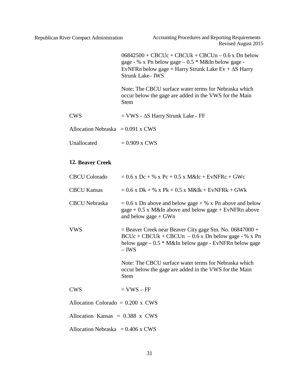<span id="page-30-0"></span>

|                                          | $06842500 + CBC$ Uc + CBCUk + CBCUn – 0.6 x Dn below<br>gage - % x Pn below gage $-0.5 * M\&$ In below gage -<br>EvNFRn below gage + Harry Strunk Lake Ev + $\Delta S$ Harry<br><b>Strunk Lake-IWS</b> |
|------------------------------------------|--------------------------------------------------------------------------------------------------------------------------------------------------------------------------------------------------------|
|                                          | Note: The CBCU surface water terms for Nebraska which<br>occur below the gage are added in the VWS for the Main<br><b>Stem</b>                                                                         |
| <b>CWS</b>                               | $=$ VWS - $\Delta S$ Harry Strunk Lake - FF                                                                                                                                                            |
| Allocation Nebraska = $0.091$ x CWS      |                                                                                                                                                                                                        |
| Unallocated                              | $= 0.909$ x CWS                                                                                                                                                                                        |
| <b>12. Beaver Creek</b>                  |                                                                                                                                                                                                        |
| <b>CBCU Colorado</b>                     | $= 0.6$ x Dc + % x Pc + 0.5 x M&Ic + EvNFRc + GWc                                                                                                                                                      |
| <b>CBCU Kansas</b>                       | $= 0.6$ x Dk + % x Pk + 0.5 x M&Ik + EvNFRk + GWk                                                                                                                                                      |
| <b>CBCU</b> Nebraska                     | $= 0.6$ x Dn above and below gage + % x Pn above and below<br>$\text{gage} + 0.5 \times M\&\text{In above and below } \text{gage} + \text{EvNFRn above}$<br>and below gage $+$ GWn                     |
| <b>VWS</b>                               | $=$ Beaver Creek near Beaver City gage Stn. No. 06847000 +<br>$BCUc + CBCUk + CBCUn - 0.6x$ Dn below gage - % x Pn<br>below gage $-0.5 * M\&$ In below gage - EvNFRn below gage<br>$-$ IWS             |
|                                          | Note: The CBCU surface water terms for Nebraska which<br>occur below the gage are added in the VWS for the Main<br><b>Stem</b>                                                                         |
| <b>CWS</b>                               | $=$ VWS $-$ FF                                                                                                                                                                                         |
| Allocation Colorado = $0.200 \times$ CWS |                                                                                                                                                                                                        |
| Allocation Kansas = $0.388$ x CWS        |                                                                                                                                                                                                        |
| Allocation Nebraska = $0.406$ x CWS      |                                                                                                                                                                                                        |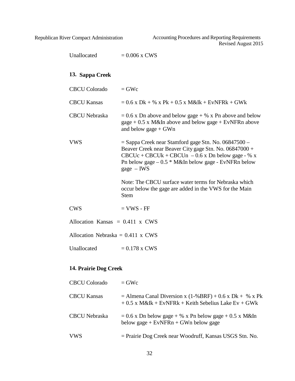<span id="page-31-0"></span>

Republican River Compact Administration Accounting Procedures and Reporting Requirements Revised August 2015

| Unallocated                              | $= 0.006$ x CWS                                                                                                                                                                                                                                      |
|------------------------------------------|------------------------------------------------------------------------------------------------------------------------------------------------------------------------------------------------------------------------------------------------------|
| 13. Sappa Creek                          |                                                                                                                                                                                                                                                      |
| <b>CBCU Colorado</b>                     | $=$ GWc                                                                                                                                                                                                                                              |
| <b>CBCU Kansas</b>                       | $= 0.6$ x Dk + % x Pk + 0.5 x M&Ik + EvNFRk + GWk                                                                                                                                                                                                    |
| <b>CBCU</b> Nebraska                     | $= 0.6$ x Dn above and below gage + % x Pn above and below<br>$\text{gage} + 0.5 \times M\&\text{In above and below } \text{gage} + \text{EvNFRn above}$<br>and below gage $+$ GWn                                                                   |
| <b>VWS</b>                               | $=$ Sappa Creek near Stamford gage Stn. No. 06847500 $-$<br>Beaver Creek near Beaver City gage Stn. No. 06847000 +<br>$CBCUc + CBCUk + CBCUn - 0.6 x Dn$ below gage - % x<br>Pn below gage $-0.5 * M\&$ In below gage - EvNFRn below<br>gage $-$ IWS |
|                                          | Note: The CBCU surface water terms for Nebraska which<br>occur below the gage are added in the VWS for the Main<br><b>Stem</b>                                                                                                                       |
| <b>CWS</b>                               | $=$ VWS - FF                                                                                                                                                                                                                                         |
| Allocation Kansas $= 0.411$ x CWS        |                                                                                                                                                                                                                                                      |
| Allocation Nebraska = $0.411 \times$ CWS |                                                                                                                                                                                                                                                      |
| Unallocated                              | $= 0.178$ x CWS                                                                                                                                                                                                                                      |
| 14. Prairie Dog Creek                    |                                                                                                                                                                                                                                                      |
| <b>CBCU Colorado</b>                     | $=$ GWc                                                                                                                                                                                                                                              |
| <b>CBCU Kansas</b>                       | $=$ Almena Canal Diversion x (1-%BRF) + 0.6 x Dk + % x Pk<br>$+0.5$ x M&Ik + EvNFRk + Keith Sebelius Lake Ev + GWk                                                                                                                                   |
| <b>CBCU</b> Nebraska                     | $= 0.6$ x Dn below gage + % x Pn below gage + 0.5 x M&In<br>below gage + $EvNFRn + GWn$ below gage                                                                                                                                                   |
|                                          |                                                                                                                                                                                                                                                      |

<span id="page-31-1"></span>VWS = Prairie Dog Creek near Woodruff, Kansas USGS Stn. No.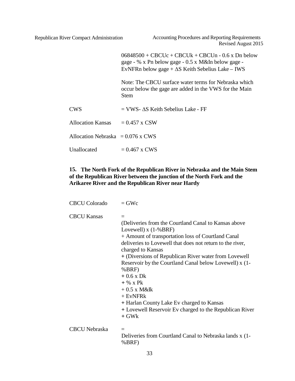$06848500 + CBC$ Uc + CBCUk + CBCUn - 0.6 x Dn below gage - % x Pn below gage - 0.5 x M&In below gage - EvNFRn below gage + ∆S Keith Sebelius Lake – IWS Note: The CBCU surface water terms for Nebraska which occur below the gage are added in the VWS for the Main Stem  $CWS = VWS - AS$  Keith Sebelius Lake - FF Allocation Kansas  $= 0.457$  x CSW Allocation Nebraska =  $0.076 \times$  CWS

Unallocated  $= 0.467$  x CWS

## <span id="page-32-0"></span>**15. The North Fork of the Republican River in Nebraska and the Main Stem of the Republican River between the junction of the North Fork and the Arikaree River and the Republican River near Hardy**

| <b>CBCU Colorado</b> | $=$ GWc                                                                                                                                                                                                                                                                                                                                                                                                                                                                                                                                                     |
|----------------------|-------------------------------------------------------------------------------------------------------------------------------------------------------------------------------------------------------------------------------------------------------------------------------------------------------------------------------------------------------------------------------------------------------------------------------------------------------------------------------------------------------------------------------------------------------------|
| <b>CBCU Kansas</b>   | $=$<br>(Deliveries from the Courtland Canal to Kansas above<br>Lovewell) $x(1-%BRF)$<br>+ Amount of transportation loss of Courtland Canal<br>deliveries to Lovewell that does not return to the river,<br>charged to Kansas<br>+ (Diversions of Republican River water from Lovewell<br>Reservoir by the Courtland Canal below Lovewell) x (1-<br>%BRF)<br>$+0.6 \times Dk$<br>$+$ % x Pk<br>$+0.5$ x M&Ik<br>$+$ EvNFR $k$<br>+ Harlan County Lake Ev charged to Kansas<br>+ Lovewell Reservoir Ev charged to the Republican River<br>$+$ GW <sub>k</sub> |
| <b>CBCU</b> Nebraska | $=$<br>Deliveries from Courtland Canal to Nebraska lands x (1-<br>%BRF)                                                                                                                                                                                                                                                                                                                                                                                                                                                                                     |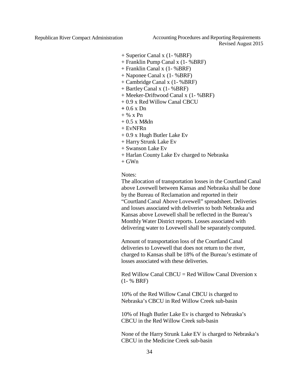Republican River Compact Administration Accounting Procedures and Reporting Requirements Revised August 2015

- + Superior Canal x (1- %BRF)
- + Franklin Pump Canal x (1- %BRF)
- + Franklin Canal x (1- %BRF)
- + Naponee Canal x (1- %BRF)
- + Cambridge Canal x (1- %BRF)
- + BartleyCanal x (1- %BRF)
- + Meeker-Driftwood Canal x (1- %BRF)
- + 0.9 x Red Willow Canal CBCU
- **+** 0.6 x Dn
- $+$  % x Pn
- $+0.5$  x M&In
- $+$  EvNFRn
- + 0.9 x Hugh Butler Lake Ev
- + Harry Strunk Lake Ev
- + Swanson Lake Ev
- + Harlan County Lake Ev charged to Nebraska
- $+$  GWn

Notes:

The allocation of transportation losses in the Courtland Canal above Lovewell between Kansas and Nebraska shall be done by the Bureau of Reclamation and reported in their "Courtland Canal Above Lovewell" spreadsheet. Deliveries and losses associated with deliveries to both Nebraska and Kansas above Lovewell shall be reflected in the Bureau's MonthlyWater District reports. Losses associated with delivering water to Lovewell shall be separately computed.

Amount of transportation loss of the Courtland Canal deliveries to Lovewell that does not return to the river, charged to Kansas shall be 18% of the Bureau's estimate of losses associated with these deliveries.

 $Red$  Willow Canal CBCU = Red Willow Canal Diversion x (1- % BRF)

10% of the Red Willow Canal CBCU is charged to Nebraska's CBCU in Red Willow Creek sub-basin

10% of Hugh Butler Lake Ev is charged to Nebraska's CBCU in the Red Willow Creek sub-basin

None of the Harry Strunk Lake EV is charged to Nebraska's CBCU in the Medicine Creek sub-basin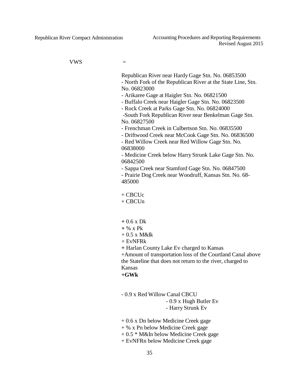$VWS =$ 

Republican River near Hardy Gage Stn. No. 06853500 - North Fork of the Republican River at the State Line, Stn. No. 06823000

- Arikaree Gage at Haigler Stn. No. 06821500

- Buffalo Creek near Haigler Gage Stn. No. 06823500

- Rock Creek at Parks Gage Stn. No. 06824000

-South Fork Republican River near Benkelman Gage Stn. No. 06827500

- Frenchman Creek in Culbertson Stn. No. 06835500

- Driftwood Creek near McCook Gage Stn. No. 06836500

- Red Willow Creek near Red Willow Gage Stn. No. 06838000

- Medicine Creek below Harry Strunk Lake Gage Stn. No. 06842500

- Sappa Creek near Stamford Gage Stn. No. 06847500 - Prairie Dog Creek near Woodruff, Kansas Stn. No. 68- 485000

+ CBCUc

- $+$  CBCUn
- **+** 0.6 x Dk
- **+** % x Pk
- $+ 0.5$  x M&Ik
- + EvNFRk

**+** Harlan County Lake Ev charged to Kansas

+Amount of transportation loss of the Courtland Canal above the Stateline that does not return to the river, charged to Kansas

**+GWk**

- 0.9 x Red Willow Canal CBCU

- 0.9 x Hugh Butler Ev

- Harry Strunk Ev

+ 0.6 x Dn below Medicine Creek gage

- + % x Pn below Medicine Creek gage
- + 0.5 \* M&In below Medicine Creek gage
- + EvNFRn below Medicine Creek gage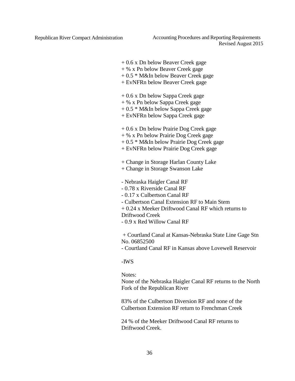Republican River Compact Administration Accounting Procedures and Reporting Requirements Revised August 2015

- + 0.6 x Dn below Beaver Creek gage
- + % x Pn below Beaver Creek gage
- + 0.5 \* M&In below Beaver Creek gage
- + EvNFRn below Beaver Creek gage
- + 0.6 x Dn below Sappa Creek gage
- + % x Pn below Sappa Creek gage
- + 0.5 \* M&In below Sappa Creek gage
- + EvNFRn below Sappa Creek gage
- + 0.6 x Dn below Prairie Dog Creek gage
- + % x Pn below Prairie Dog Creek gage
- + 0.5 \* M&In below Prairie Dog Creek gage
- + EvNFRn below Prairie Dog Creek gage
- + Change in Storage Harlan County Lake
- + Change in Storage Swanson Lake
- Nebraska Haigler Canal RF
- 0.78 x Riverside Canal RF
- 0.17 x Culbertson Canal RF
- Culbertson Canal Extension RF to Main Stem
- + 0.24 x Meeker Driftwood Canal RF which returns to
- Driftwood Creek
- 0.9 x Red Willow Canal RF

+ Courtland Canal at Kansas-Nebraska State Line Gage Stn No. 06852500

- Courtland Canal RF in Kansas above Lovewell Reservoir

#### -IWS

#### Notes:

None of the Nebraska Haigler Canal RF returns to the North Fork of the Republican River

83% of the Culbertson Diversion RF and none of the Culbertson Extension RF return to Frenchman Creek

24 % of the Meeker Driftwood Canal RF returns to Driftwood Creek.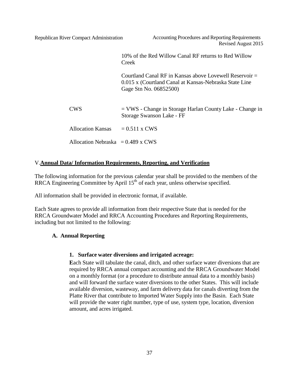10% of the Red Willow Canal RF returns to Red Willow Creek

Courtland Canal RF in Kansas above Lovewell Reservoir = 0.015 x (Courtland Canal at Kansas-Nebraska State Line Gage Stn No. 06852500)

CWS = VWS - Change in Storage Harlan County Lake - Change in Storage Swanson Lake - FF

Allocation Kansas  $= 0.511$  x CWS

Allocation Nebraska =  $0.489$  x CWS

## <span id="page-36-0"></span>V.**Annual Data/ Information Requirements, Reporting, and Verification**

The following information for the previous calendar year shall be provided to the members of the RRCA Engineering Committee by April  $15<sup>th</sup>$  of each year, unless otherwise specified.

All information shall be provided in electronic format, if available.

Each State agrees to provide all information from their respective State that is needed for the RRCA Groundwater Model and RRCA Accounting Procedures and Reporting Requirements, including but not limited to the following:

## <span id="page-36-2"></span><span id="page-36-1"></span>**A. Annual Reporting**

## **1. Surface water diversions and irrigated acreage:**

**E**ach State will tabulate the canal, ditch, and other surface water diversions that are required by RRCA annual compact accounting and the RRCA Groundwater Model on a monthly format (or a procedure to distribute annual data to a monthly basis) and will forward the surface water diversions to the other States. This will include available diversion, wasteway, and farm delivery data for canals diverting from the Platte River that contribute to Imported Water Supply into the Basin. Each State will provide the water right number, type of use, system type, location, diversion amount, and acres irrigated.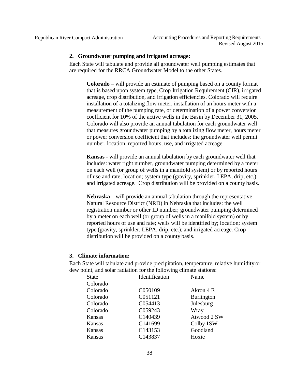<span id="page-37-0"></span>

#### **2. Groundwater pumping and irrigated acreage:**

Each State will tabulate and provide all groundwater well pumping estimates that are required for the RRCA Groundwater Model to the other States.

**Colorado** – will provide an estimate of pumping based on a county format that is based upon system type, Crop Irrigation Requirement (CIR), irrigated acreage, crop distribution, and irrigation efficiencies. Colorado will require installation of a totalizing flow meter, installation of an hours meter with a measurement of the pumping rate, or determination of a power conversion coefficient for 10% of the active wells in the Basin by December 31, 2005. Colorado will also provide an annual tabulation for each groundwater well that measures groundwater pumping by a totalizing flow meter, hours meter or power conversion coefficient that includes: the groundwater well permit number, location, reported hours, use, and irrigated acreage.

**Kansas** - will provide an annual tabulation by each groundwater well that includes: water right number, groundwater pumping determined by a meter on each well (or group of wells in a manifold system) or by reported hours of use and rate; location; system type (gravity, sprinkler, LEPA, drip, etc.); and irrigated acreage. Crop distribution will be provided on a county basis.

**Nebraska** – will provide an annual tabulation through the representative Natural Resource District (NRD) in Nebraska that includes: the well registration number or other ID number; groundwater pumping determined by a meter on each well (or group of wells in a manifold system) or by reported hours of use and rate; wells will be identified by; location; system type (gravity, sprinkler, LEPA, drip, etc.); and irrigated acreage. Crop distribution will be provided on a county basis.

## <span id="page-37-1"></span>**3. Climate information:**

Each State will tabulate and provide precipitation, temperature, relative humidity or dew point, and solar radiation for the following climate stations:

| <b>State</b> | Identification | Name              |
|--------------|----------------|-------------------|
| Colorado     |                |                   |
| Colorado     | C050109        | Akron 4 E         |
| Colorado     | C051121        | <b>Burlington</b> |
| Colorado     | C054413        | Julesburg         |
| Colorado     | C059243        | Wray              |
| Kansas       | C140439        | Atwood 2 SW       |
| Kansas       | C141699        | Colby 1SW         |
| Kansas       | C143153        | Goodland          |
| Kansas       | C143837        | Hoxie             |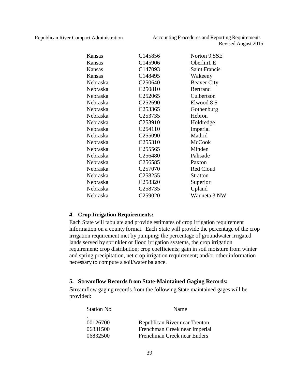| Kansas   | C145856             | Norton 9 SSE         |
|----------|---------------------|----------------------|
| Kansas   | C145906             | Oberlin1 E           |
| Kansas   | C147093             | <b>Saint Francis</b> |
| Kansas   | C148495             | Wakeeny              |
| Nebraska | C <sub>250640</sub> | <b>Beaver City</b>   |
| Nebraska | C <sub>250810</sub> | <b>Bertrand</b>      |
| Nebraska | C <sub>252065</sub> | Culbertson           |
| Nebraska | C <sub>252690</sub> | Elwood 8 S           |
| Nebraska | C <sub>253365</sub> | Gothenburg           |
| Nebraska | C <sub>253735</sub> | Hebron               |
| Nebraska | C <sub>253910</sub> | Holdredge            |
| Nebraska | C <sub>254110</sub> | Imperial             |
| Nebraska | C <sub>255090</sub> | Madrid               |
| Nebraska | C255310             | <b>McCook</b>        |
| Nebraska | C <sub>255565</sub> | Minden               |
| Nebraska | C <sub>256480</sub> | Palisade             |
| Nebraska | C <sub>256585</sub> | Paxton               |
| Nebraska | C <sub>257070</sub> | <b>Red Cloud</b>     |
| Nebraska | C <sub>258255</sub> | <b>Stratton</b>      |
| Nebraska | C <sub>258320</sub> | Superior             |
| Nebraska | C <sub>258735</sub> | Upland               |
| Nebraska | C259020             | Wauneta 3 NW         |

#### <span id="page-38-0"></span>**4. Crop Irrigation Requirements:**

Each State will tabulate and provide estimates of crop irrigation requirement information on a county format. Each State will provide the percentage of the crop irrigation requirement met by pumping; the percentage of groundwater irrigated lands served by sprinkler or flood irrigation systems, the crop irrigation requirement; crop distribution; crop coefficients; gain in soil moisture from winter and spring precipitation, net crop irrigation requirement; and/or other information necessary to compute a soil/water balance.

#### <span id="page-38-1"></span>**5. Streamflow Records from State-Maintained Gaging Records:**

Streamflow gaging records from the following State maintained gages will be provided:

| <b>Station No</b> | Name                          |
|-------------------|-------------------------------|
|                   |                               |
| 00126700          | Republican River near Trenton |
| 06831500          | Frenchman Creek near Imperial |
| 06832500          | Frenchman Creek near Enders   |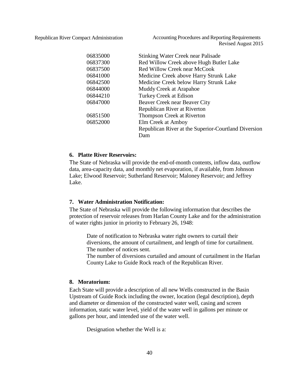Republican River Compact Administration Accounting Procedures and Reporting Requirements Revised August 2015

| 06835000 | <b>Stinking Water Creek near Palisade</b>            |
|----------|------------------------------------------------------|
| 06837300 | Red Willow Creek above Hugh Butler Lake              |
| 06837500 | Red Willow Creek near McCook                         |
| 06841000 | Medicine Creek above Harry Strunk Lake               |
| 06842500 | Medicine Creek below Harry Strunk Lake               |
| 06844000 | Muddy Creek at Arapahoe                              |
| 06844210 | Turkey Creek at Edison                               |
| 06847000 | Beaver Creek near Beaver City                        |
|          | Republican River at Riverton                         |
| 06851500 | Thompson Creek at Riverton                           |
| 06852000 | Elm Creek at Amboy                                   |
|          | Republican River at the Superior-Courtland Diversion |
|          | Dam                                                  |

## <span id="page-39-0"></span>**6. Platte River Reservoirs:**

The State of Nebraska will provide the end-of-month contents, inflow data, outflow data, area-capacity data, and monthly net evaporation, if available, from Johnson Lake; Elwood Reservoir; Sutherland Reservoir; Maloney Reservoir; and Jeffrey Lake.

#### <span id="page-39-1"></span>**7. Water Administration Notification:**

The State of Nebraska will provide the following information that describes the protection of reservoir releases from Harlan County Lake and for the administration of water rights junior in priority to February 26, 1948:

Date of notification to Nebraska water right owners to curtail their diversions, the amount of curtailment, and length of time for curtailment. The number of notices sent.

The number of diversions curtailed and amount of curtailment in the Harlan County Lake to Guide Rock reach of the Republican River.

#### <span id="page-39-2"></span>**8. Moratorium:**

Each State will provide a description of all new Wells constructed in the Basin Upstream of Guide Rock including the owner, location (legal description), depth and diameter or dimension of the constructed water well, casing and screen information, static water level, yield of the water well in gallons per minute or gallons per hour, and intended use of the water well.

Designation whether the Well is a: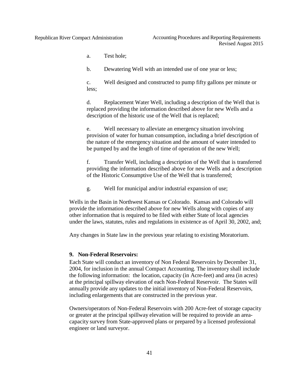a. Test hole;

b. Dewatering Well with an intended use of one year or less;

c. Well designed and constructed to pump fifty gallons per minute or less;

d. Replacement Water Well, including a description of the Well that is replaced providing the information described above for new Wells and a description of the historic use of the Well that is replaced;

e. Well necessary to alleviate an emergency situation involving provision of water for human consumption, including a brief description of the nature of the emergency situation and the amount of water intended to be pumped by and the length of time of operation of the new Well;

f. Transfer Well, including a description of the Well that is transferred providing the information described above for new Wells and a description of the Historic Consumptive Use of the Well that is transferred;

g. Well for municipal and/or industrial expansion of use;

Wells in the Basin in Northwest Kansas or Colorado. Kansas and Colorado will provide the information described above for new Wells along with copies of any other information that is required to be filed with either State of local agencies under the laws, statutes, rules and regulations in existence as of April 30, 2002, and;

Any changes in State law in the previous year relating to existing Moratorium.

#### <span id="page-40-0"></span>**9. Non-Federal Reservoirs:**

Each State will conduct an inventory of Non Federal Reservoirs by December 31, 2004, for inclusion in the annual Compact Accounting. The inventory shall include the following information: the location, capacity (in Acre-feet) and area (in acres) at the principal spillway elevation of each Non-Federal Reservoir. The States will annually provide any updates to the initial inventory of Non-Federal Reservoirs, including enlargements that are constructed in the previous year.

Owners/operators of Non-Federal Reservoirs with 200 Acre-feet of storage capacity or greater at the principal spillway elevation will be required to provide an areacapacity survey from State-approved plans or prepared by a licensed professional engineer or land surveyor.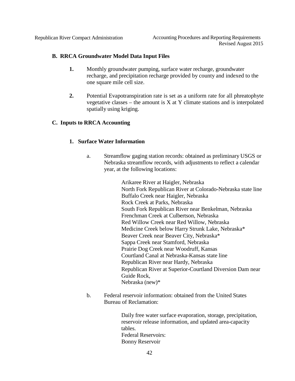<span id="page-41-0"></span>

### **B. RRCA Groundwater Model Data Input Files**

- **1.** Monthly groundwater pumping, surface water recharge, groundwater recharge, and precipitation recharge provided by county and indexed to the one square mile cell size.
- **2.** Potential Evapotranspiration rate is set as a uniform rate for all phreatophyte vegetative classes – the amount is  $X$  at  $Y$  climate stations and is interpolated spatially using kriging.

### <span id="page-41-2"></span><span id="page-41-1"></span>**C. Inputs to RRCA Accounting**

### **1. Surface Water Information**

a. Streamflow gaging station records: obtained as preliminary USGS or Nebraska streamflow records, with adjustments to reflect a calendar year, at the following locations:

> Arikaree River at Haigler, Nebraska North Fork Republican River at Colorado-Nebraska state line Buffalo Creek near Haigler, Nebraska Rock Creek at Parks, Nebraska South Fork Republican River near Benkelman, Nebraska Frenchman Creek at Culbertson, Nebraska Red Willow Creek near Red Willow, Nebraska Medicine Creek below Harry Strunk Lake, Nebraska\* Beaver Creek near Beaver City, Nebraska\* Sappa Creek near Stamford, Nebraska Prairie Dog Creek near Woodruff, Kansas Courtland Canal at Nebraska-Kansas state line Republican River near Hardy, Nebraska Republican River at Superior-Courtland Diversion Dam near Guide Rock, Nebraska (new)\*

b. Federal reservoir information: obtained from the United States Bureau of Reclamation:

> Daily free water surface evaporation, storage, precipitation, reservoir release information, and updated area-capacity tables. Federal Reservoirs: Bonny Reservoir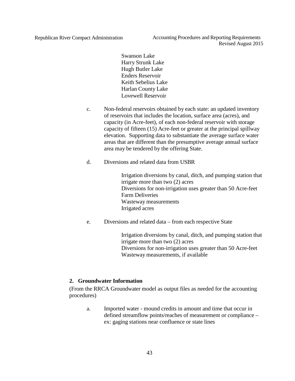Republican River Compact Administration Accounting Procedures and Reporting Requirements Revised August 2015

> Swanson Lake Harry Strunk Lake Hugh Butler Lake Enders Reservoir Keith Sebelius Lake Harlan County Lake Lovewell Reservoir

- c. Non-federal reservoirs obtained by each state: an updated inventory of reservoirs that includes the location, surface area (acres), and capacity (in Acre-feet), of each non-federal reservoir with storage capacity of fifteen (15) Acre-feet or greater at the principal spillway elevation. Supporting data to substantiate the average surface water areas that are different than the presumptive average annual surface area may be tendered by the offering State.
- d. Diversions and related data from USBR

Irrigation diversions by canal, ditch, and pumping station that irrigate more than two (2) acres Diversions for non-irrigation uses greater than 50 Acre-feet Farm Deliveries Wasteway measurements Irrigated acres

e. Diversions and related data – from each respective State

Irrigation diversions by canal, ditch, and pumping station that irrigate more than two (2) acres Diversions for non-irrigation uses greater than 50 Acre-feet Wasteway measurements, if available

## <span id="page-42-0"></span>**2. Groundwater Information**

(From the RRCA Groundwater model as output files as needed for the accounting procedures)

a. Imported water - mound credits in amount and time that occur in defined streamflow points/reaches of measurement or compliance – ex: gaging stations near confluence or state lines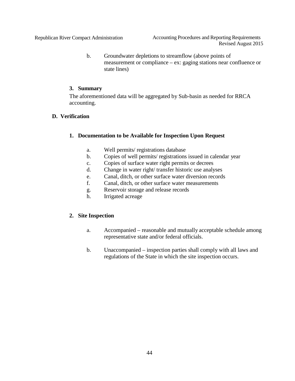b. Groundwater depletions to streamflow (above points of measurement or compliance – ex: gaging stations near confluence or state lines)

## **3. Summary**

The aforementioned data will be aggregated by Sub-basin as needed for RRCA accounting.

## <span id="page-43-2"></span><span id="page-43-1"></span><span id="page-43-0"></span>**D. Verification**

### **1. Documentation to be Available for Inspection Upon Request**

- a. Well permits/ registrations database
- b. Copies of well permits/ registrations issued in calendar year
- c. Copies of surface water right permits or decrees
- d. Change in water right/ transfer historic use analyses
- e. Canal, ditch, or other surface water diversion records
- f. Canal, ditch, or other surface water measurements
- g. Reservoir storage and release records
- h. Irrigated acreage

## <span id="page-43-3"></span>**2. Site Inspection**

- a. Accompanied reasonable and mutually acceptable schedule among representative state and/or federal officials.
- b. Unaccompanied inspection parties shall comply with all laws and regulations of the State in which the site inspection occurs.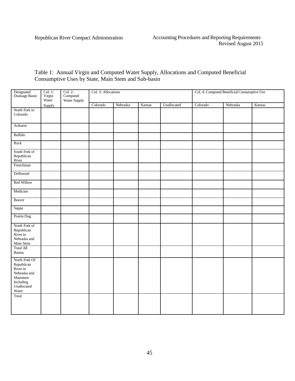Table 1: Annual Virgin and Computed Water Supply, Allocations and Computed Beneficial Consumptive Uses by State, Main Stem and Sub-basin

| Designated<br>Drainage Basin                                                                             | Col. 1:<br>Virgin<br>Water | Col. 2:<br>Computed<br>Water Supply | Col. 3: Allocations |          |        |             | Col. 4: Computed Beneficial Consumptive Use |          |        |
|----------------------------------------------------------------------------------------------------------|----------------------------|-------------------------------------|---------------------|----------|--------|-------------|---------------------------------------------|----------|--------|
|                                                                                                          | Supply                     |                                     | Colorado            | Nebraska | Kansas | Unallocated | Colorado                                    | Nebraska | Kansas |
| North Fork in<br>Colorado                                                                                |                            |                                     |                     |          |        |             |                                             |          |        |
| Arikaree                                                                                                 |                            |                                     |                     |          |        |             |                                             |          |        |
| <b>Buffalo</b>                                                                                           |                            |                                     |                     |          |        |             |                                             |          |        |
| Rock                                                                                                     |                            |                                     |                     |          |        |             |                                             |          |        |
| South Fork of<br>Republican<br>River                                                                     |                            |                                     |                     |          |        |             |                                             |          |        |
| Frenchman                                                                                                |                            |                                     |                     |          |        |             |                                             |          |        |
| Driftwood                                                                                                |                            |                                     |                     |          |        |             |                                             |          |        |
| Red Willow                                                                                               |                            |                                     |                     |          |        |             |                                             |          |        |
| Medicine                                                                                                 |                            |                                     |                     |          |        |             |                                             |          |        |
| Beaver                                                                                                   |                            |                                     |                     |          |        |             |                                             |          |        |
| Sappa                                                                                                    |                            |                                     |                     |          |        |             |                                             |          |        |
| Prairie Dog                                                                                              |                            |                                     |                     |          |        |             |                                             |          |        |
| North Fork of<br>Republican<br>River in<br>Nebraska and<br>Main Stem                                     |                            |                                     |                     |          |        |             |                                             |          |        |
| <b>Total All</b><br>Basins                                                                               |                            |                                     |                     |          |        |             |                                             |          |        |
| North Fork Of<br>Republican<br>River in<br>Nebraska and<br>Mainstem<br>Including<br>Unallocated<br>Water |                            |                                     |                     |          |        |             |                                             |          |        |
| Total                                                                                                    |                            |                                     |                     |          |        |             |                                             |          |        |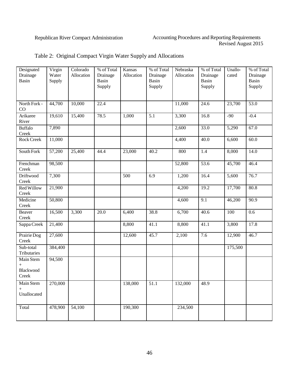| Designated<br>Drainage                    | Virgin<br>Water | Colorado<br>Allocation | % of Total<br>Drainage | Kansas<br>Allocation | % of Total<br>Drainage | Nebraska<br>Allocation | % of Total<br>Drainage | Unallo-<br>cated   | % of Total<br>Drainage |
|-------------------------------------------|-----------------|------------------------|------------------------|----------------------|------------------------|------------------------|------------------------|--------------------|------------------------|
| Basin                                     | Supply          |                        | Basin<br>Supply        |                      | Basin<br>Supply        |                        | Basin<br>Supply        |                    | Basin<br>Supply        |
| North Fork -<br>CO                        | 44,700          | 10,000                 | 22.4                   |                      |                        | 11,000                 | 24.6                   | 23,700             | $\overline{53.0}$      |
| Arikaree<br>River                         | 19,610          | 15,400                 | 78.5                   | 1,000                | 5.1                    | 3,300                  | 16.8                   | $-90$              | $-0.4$                 |
| <b>Buffalo</b><br>Creek                   | 7,890           |                        |                        |                      |                        | 2,600                  | 33.0                   | $\overline{5,290}$ | 67.0                   |
| <b>Rock Creek</b>                         | 11,000          |                        |                        |                      |                        | 4,400                  | 40.0                   | 6,600              | 60.0                   |
| South Fork                                | 57,200          | 25,400                 | 44.4                   | 23,000               | 40.2                   | 800                    | 1.4                    | 8,000              | 14.0                   |
| Frenchman<br>Creek                        | 98,500          |                        |                        |                      |                        | 52,800                 | 53.6                   | 45,700             | 46.4                   |
| Driftwood<br>Creek                        | 7,300           |                        |                        | 500                  | 6.9                    | 1,200                  | 16.4                   | $\overline{5,600}$ | 76.7                   |
| <b>Red Willow</b><br>Creek                | 21,900          |                        |                        |                      |                        | 4,200                  | 19.2                   | 17,700             | 80.8                   |
| Medicine<br>Creek                         | 50,800          |                        |                        |                      |                        | 4,600                  | 9.1                    | 46,200             | 90.9                   |
| <b>Beaver</b><br>Creek                    | 16,500          | 3,300                  | 20.0                   | 6,400                | 38.8                   | 6,700                  | 40.6                   | 100                | 0.6                    |
| Sappa Creek                               | 21,400          |                        |                        | 8,800                | 41.1                   | 8,800                  | 41.1                   | 3,800              | 17.8                   |
| Prairie Dog<br>Creek                      | 27,600          |                        |                        | 12,600               | 45.7                   | 2,100                  | 7.6                    | 12,900             | 46.7                   |
| Sub-total<br>Tributaries                  | 384,400         |                        |                        |                      |                        |                        |                        | 175,500            |                        |
| Main Stem<br>$^{+}$<br>Blackwood<br>Creek | 94,500          |                        |                        |                      |                        |                        |                        |                    |                        |
| Main Stem<br>$^{+}$<br>Unallocated        | 270,000         |                        |                        | 138,000              | 51.1                   | 132,000                | 48.9                   |                    |                        |
| Total                                     | 478,900         | 54,100                 |                        | 190,300              |                        | 234,500                |                        |                    |                        |

## Table 2: Original Compact Virgin Water Supply and Allocations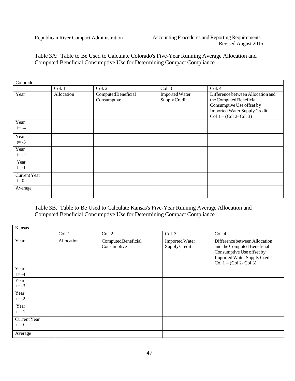Table 3A: Table to Be Used to Calculate Colorado's Five-Year Running Average Allocation and Computed Beneficial Consumptive Use for Determining Compact Compliance

| Colorado              |            |                                    |                                        |                                                                                                                                                               |
|-----------------------|------------|------------------------------------|----------------------------------------|---------------------------------------------------------------------------------------------------------------------------------------------------------------|
|                       | Col. 1     | Col. 2                             | Col.3                                  | Col. 4                                                                                                                                                        |
| Year                  | Allocation | Computed Beneficial<br>Consumptive | <b>Imported Water</b><br>Supply Credit | Difference between Allocation and<br>the Computed Beneficial<br>Consumptive Use offset by<br><b>Imported Water Supply Credit</b><br>$Col 1 - (Col 2 - Col 3)$ |
| Year<br>$t = -4$      |            |                                    |                                        |                                                                                                                                                               |
| Year<br>$t = -3$      |            |                                    |                                        |                                                                                                                                                               |
| Year<br>$t = -2$      |            |                                    |                                        |                                                                                                                                                               |
| Year<br>$t=-1$        |            |                                    |                                        |                                                                                                                                                               |
| Current Year<br>$t=0$ |            |                                    |                                        |                                                                                                                                                               |
| Average               |            |                                    |                                        |                                                                                                                                                               |

Table 3B. Table to Be Used to Calculate Kansas's Five-Year Running Average Allocation and Computed Beneficial Consumptive Use for Determining Compact Compliance

| Kansas                       |            |                                    |                                        |                                                                                                                                                               |
|------------------------------|------------|------------------------------------|----------------------------------------|---------------------------------------------------------------------------------------------------------------------------------------------------------------|
|                              | Col. 1     | Col. 2                             | Col.3                                  | Col. 4                                                                                                                                                        |
| Year                         | Allocation | Computed Beneficial<br>Consumptive | <b>Imported Water</b><br>Supply Credit | Difference between Allocation<br>and the Computed Beneficial<br>Consumptive Use offset by<br><b>Imported Water Supply Credit</b><br>Col $1 - (Col 2 - Col 3)$ |
| Year<br>$t = -4$             |            |                                    |                                        |                                                                                                                                                               |
| Year<br>$t = -3$             |            |                                    |                                        |                                                                                                                                                               |
| Year<br>$t = -2$             |            |                                    |                                        |                                                                                                                                                               |
| Year<br>$t = -1$             |            |                                    |                                        |                                                                                                                                                               |
| <b>Current Year</b><br>$t=0$ |            |                                    |                                        |                                                                                                                                                               |
| Average                      |            |                                    |                                        |                                                                                                                                                               |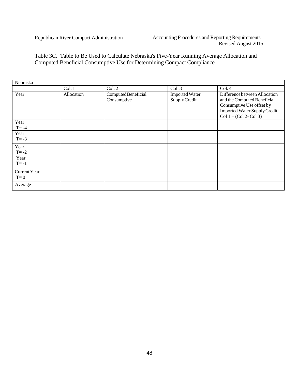Table 3C. Table to Be Used to Calculate Nebraska's Five-Year Running Average Allocation and Computed Beneficial Consumptive Use for Determining Compact Compliance

| Nebraska                     |            |                                    |                                        |                                                                                                                                                               |
|------------------------------|------------|------------------------------------|----------------------------------------|---------------------------------------------------------------------------------------------------------------------------------------------------------------|
|                              | Col. 1     | Col. 2                             | Col.3                                  | Col.4                                                                                                                                                         |
| Year                         | Allocation | Computed Beneficial<br>Consumptive | <b>Imported Water</b><br>Supply Credit | Difference between Allocation<br>and the Computed Beneficial<br>Consumptive Use offset by<br><b>Imported Water Supply Credit</b><br>$Col 1 - (Col 2 - Col 3)$ |
| Year<br>$T = -4$             |            |                                    |                                        |                                                                                                                                                               |
| Year<br>$T = -3$             |            |                                    |                                        |                                                                                                                                                               |
| Year<br>$T = -2$             |            |                                    |                                        |                                                                                                                                                               |
| Year<br>$T = -1$             |            |                                    |                                        |                                                                                                                                                               |
| <b>Current Year</b><br>$T=0$ |            |                                    |                                        |                                                                                                                                                               |
| Average                      |            |                                    |                                        |                                                                                                                                                               |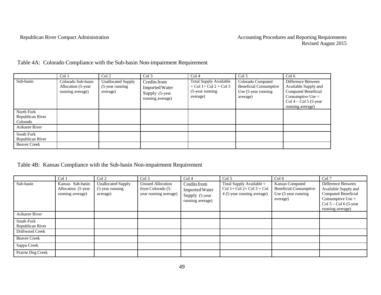|                                            | Col 1                                                         | Col 2                                                    | Col <sub>3</sub>                                                            | Col <sub>4</sub>                                                                            | Col 5                                                                                 | Col <sub>6</sub>                                                                                                                           |
|--------------------------------------------|---------------------------------------------------------------|----------------------------------------------------------|-----------------------------------------------------------------------------|---------------------------------------------------------------------------------------------|---------------------------------------------------------------------------------------|--------------------------------------------------------------------------------------------------------------------------------------------|
| Sub-basin                                  | Colorado Sub-basin<br>Allocation (5-year)<br>running average) | <b>Unallocated Supply</b><br>(5-year running<br>average) | Credits from<br><b>Imported Water</b><br>Supply (5-year<br>running average) | <b>Total Supply Available</b><br>$=$ Col 1+ Col 2 + Col 3<br>$(5$ -year running<br>average) | Colorado Computed<br><b>Beneficial Consumptive</b><br>Use (5-year running<br>average) | Difference Between<br>Available Supply and<br>Computed Beneficial<br>Consumptive Use $=$<br>Col $4 -$ Col $5$ (5-year)<br>running average) |
| North Fork<br>Republican River<br>Colorado |                                                               |                                                          |                                                                             |                                                                                             |                                                                                       |                                                                                                                                            |
| Arikaree River                             |                                                               |                                                          |                                                                             |                                                                                             |                                                                                       |                                                                                                                                            |
| South Fork<br>Republican River             |                                                               |                                                          |                                                                             |                                                                                             |                                                                                       |                                                                                                                                            |
| <b>Beaver Creek</b>                        |                                                               |                                                          |                                                                             |                                                                                             |                                                                                       |                                                                                                                                            |

Table 4A: Colorado Compliance with the Sub-basin Non-impairment Requirement

Table 4B: Kansas Compliance with the Sub-basin Non-impairment Requirement

|                                | Col 1                                                      | Col 2                                                     | Col <sub>3</sub>                                                       | Col <sub>4</sub>                                                            | Col <sub>5</sub>                                                                          | Col 6                                                                               | Col 7                                                                                                                                    |
|--------------------------------|------------------------------------------------------------|-----------------------------------------------------------|------------------------------------------------------------------------|-----------------------------------------------------------------------------|-------------------------------------------------------------------------------------------|-------------------------------------------------------------------------------------|------------------------------------------------------------------------------------------------------------------------------------------|
| Sub-basin                      | Kansas Sub-basin<br>Allocation (5-year<br>running average) | <b>Unallocated Supply</b><br>(5-year running)<br>average) | <b>Unused Allocation</b><br>from Colorado (5-<br>year running average) | Credits from<br><b>Imported Water</b><br>Supply (5-year<br>running average) | Total Supply Available $=$<br>$Col 1 + Col 2 + Col 3 + Col$<br>4 (5-year running average) | Kansas Computed<br><b>Beneficial Consumptive</b><br>Use (5-year running<br>average) | Difference Between<br>Available Supply and<br>Computed Beneficial<br>Consumptive Use $=$<br>$Col 5 - Col 6 (5-year)$<br>running average) |
| Arikaree River                 |                                                            |                                                           |                                                                        |                                                                             |                                                                                           |                                                                                     |                                                                                                                                          |
| South Fork<br>Republican River |                                                            |                                                           |                                                                        |                                                                             |                                                                                           |                                                                                     |                                                                                                                                          |
| Driftwood Creek                |                                                            |                                                           |                                                                        |                                                                             |                                                                                           |                                                                                     |                                                                                                                                          |
| <b>Beaver Creek</b>            |                                                            |                                                           |                                                                        |                                                                             |                                                                                           |                                                                                     |                                                                                                                                          |
| Sappa Creek                    |                                                            |                                                           |                                                                        |                                                                             |                                                                                           |                                                                                     |                                                                                                                                          |
| Prairie Dog Creek              |                                                            |                                                           |                                                                        |                                                                             |                                                                                           |                                                                                     |                                                                                                                                          |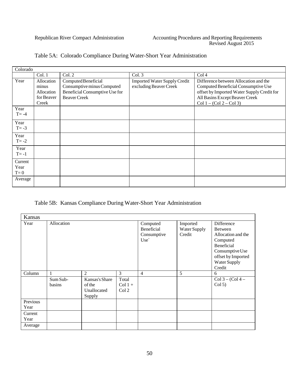$\overline{\mathbf{1}}$ 

|                     | Table 5A: Colorado Compliance During Water-Short Year Administration |
|---------------------|----------------------------------------------------------------------|
|                     |                                                                      |
| $C_{\alpha}$ lamada |                                                                      |

| Colorado                 |                                                          |                                                                                                            |                                                               |                                                                                                                                                                                           |
|--------------------------|----------------------------------------------------------|------------------------------------------------------------------------------------------------------------|---------------------------------------------------------------|-------------------------------------------------------------------------------------------------------------------------------------------------------------------------------------------|
|                          | Col.1                                                    | Col. 2                                                                                                     | Col. 3                                                        | Col <sub>4</sub>                                                                                                                                                                          |
| Year                     | Allocation<br>minus<br>Allocation<br>for Beaver<br>Creek | Computed Beneficial<br>Consumptive minus Computed<br>Beneficial Consumptive Use for<br><b>Beaver Creek</b> | <b>Imported Water Supply Credit</b><br>excluding Beaver Creek | Difference between Allocation and the<br>Computed Beneficial Consumptive Use<br>offset by Imported Water Supply Credit for<br>All Basins Except Beaver Creek<br>Col $1 - (Col 2 - Col 3)$ |
| Year<br>$T = -4$         |                                                          |                                                                                                            |                                                               |                                                                                                                                                                                           |
| Year<br>$T = -3$         |                                                          |                                                                                                            |                                                               |                                                                                                                                                                                           |
| Year<br>$T = -2$         |                                                          |                                                                                                            |                                                               |                                                                                                                                                                                           |
| Year<br>$T = -1$         |                                                          |                                                                                                            |                                                               |                                                                                                                                                                                           |
| Current<br>Year<br>$T=0$ |                                                          |                                                                                                            |                                                               |                                                                                                                                                                                           |
| Average                  |                                                          |                                                                                                            |                                                               |                                                                                                                                                                                           |

## Table 5B: Kansas Compliance During Water-Short Year Administration

| Kansas           |                    |                                                   |                                        |                                                          |                                    |                                                                                                                              |  |
|------------------|--------------------|---------------------------------------------------|----------------------------------------|----------------------------------------------------------|------------------------------------|------------------------------------------------------------------------------------------------------------------------------|--|
| Year             | Allocation         |                                                   |                                        | Computed<br>Beneficial<br>Consumptive<br>$Use^{\dagger}$ | Imported<br>Water Supply<br>Credit | <b>Difference</b><br>Between<br>Allocation and the<br>Computed<br><b>Beneficial</b><br>Consumptive Use<br>offset by Imported |  |
|                  |                    |                                                   |                                        |                                                          |                                    | Water Supply<br>Credit                                                                                                       |  |
| Column           |                    | 2                                                 | 3                                      | $\overline{4}$                                           | 5                                  | 6                                                                                                                            |  |
|                  | Sum Sub-<br>basins | Kansas's Share<br>of the<br>Unallocated<br>Supply | Total<br>$Col 1 +$<br>Col <sub>2</sub> |                                                          |                                    | $Col 3 - (Col 4 -$<br>Col 5)                                                                                                 |  |
| Previous<br>Year |                    |                                                   |                                        |                                                          |                                    |                                                                                                                              |  |
| Current<br>Year  |                    |                                                   |                                        |                                                          |                                    |                                                                                                                              |  |
| Average          |                    |                                                   |                                        |                                                          |                                    |                                                                                                                              |  |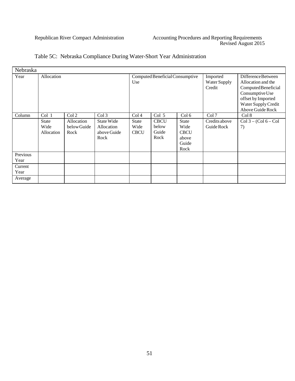| Nebraska         |                                                          |                                   |                                                 |                              |                                       |                                                               |                                    |                                                                                                                                                            |
|------------------|----------------------------------------------------------|-----------------------------------|-------------------------------------------------|------------------------------|---------------------------------------|---------------------------------------------------------------|------------------------------------|------------------------------------------------------------------------------------------------------------------------------------------------------------|
| Year             | Allocation                                               |                                   |                                                 | Use                          | Computed Beneficial Consumptive       |                                                               | Imported<br>Water Supply<br>Credit | Difference Between<br>Allocation and the<br>Computed Beneficial<br>Consumptive Use<br>offset by Imported<br>Water Supply Credit<br><b>Above Guide Rock</b> |
| Column           | Col <sub>1</sub><br>Col <sub>3</sub><br>Col <sub>2</sub> |                                   | Col <sub>4</sub>                                | Col <sub>5</sub>             | Col 6                                 | Col 7                                                         | Col 8                              |                                                                                                                                                            |
|                  | State<br>Wide<br>Allocation                              | Allocation<br>below Guide<br>Rock | State Wide<br>Allocation<br>above Guide<br>Rock | State<br>Wide<br><b>CBCU</b> | <b>CBCU</b><br>below<br>Guide<br>Rock | <b>State</b><br>Wide<br><b>CBCU</b><br>above<br>Guide<br>Rock | Credits above<br>Guide Rock        | $Col 3 - (Col 6 - Col$<br>7)                                                                                                                               |
| Previous<br>Year |                                                          |                                   |                                                 |                              |                                       |                                                               |                                    |                                                                                                                                                            |
| Current<br>Year  |                                                          |                                   |                                                 |                              |                                       |                                                               |                                    |                                                                                                                                                            |
| Average          |                                                          |                                   |                                                 |                              |                                       |                                                               |                                    |                                                                                                                                                            |

## Table 5C: Nebraska Compliance During Water-Short Year Administration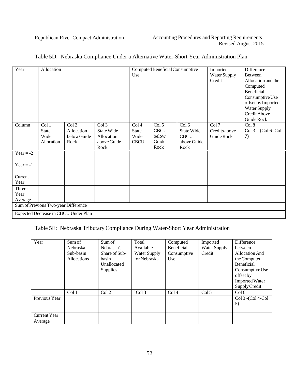| Year        | Allocation                          |                                      |                     | Use                       | Computed Beneficial Consumptive |                     | Imported<br>Water Supply<br>Credit | Difference<br><b>Between</b><br>Allocation and the<br>Computed<br>Beneficial |
|-------------|-------------------------------------|--------------------------------------|---------------------|---------------------------|---------------------------------|---------------------|------------------------------------|------------------------------------------------------------------------------|
|             |                                     |                                      |                     |                           |                                 |                     |                                    | Consumptive Use<br>offset by Imported<br>Water Supply<br>Credit Above        |
|             |                                     |                                      |                     |                           |                                 |                     | Col 7                              | Guide Rock                                                                   |
| Column      | Col 1<br><b>State</b>               | Col 2<br>Allocation                  | Col 3<br>State Wide | Col <sub>4</sub><br>State | Col <sub>5</sub><br><b>CBCU</b> | Col 6<br>State Wide | Credits above                      | Col 8<br>$Col 3 - (Col 6 - Col$                                              |
|             | Wide                                | below Guide                          | Allocation          | Wide                      | below                           | <b>CBCU</b>         | Guide Rock                         | 7)                                                                           |
|             | Allocation                          | Rock                                 | above Guide         | <b>CBCU</b>               | Guide                           | above Guide         |                                    |                                                                              |
|             |                                     |                                      | Rock                |                           | Rock                            | Rock                |                                    |                                                                              |
| Year $= -2$ |                                     |                                      |                     |                           |                                 |                     |                                    |                                                                              |
| Year = $-1$ |                                     |                                      |                     |                           |                                 |                     |                                    |                                                                              |
| Current     |                                     |                                      |                     |                           |                                 |                     |                                    |                                                                              |
| Year        |                                     |                                      |                     |                           |                                 |                     |                                    |                                                                              |
| Three-      |                                     |                                      |                     |                           |                                 |                     |                                    |                                                                              |
| Year        |                                     |                                      |                     |                           |                                 |                     |                                    |                                                                              |
| Average     |                                     |                                      |                     |                           |                                 |                     |                                    |                                                                              |
|             | Sum of Previous Two-year Difference |                                      |                     |                           |                                 |                     |                                    |                                                                              |
|             |                                     | Expected Decrease in CBCU Under Plan |                     |                           |                                 |                     |                                    |                                                                              |

## Table 5D: Nebraska Compliance Under a Alternative Water-Short Year Administration Plan

## Table 5E: Nebraska Tributary Compliance During Water-Short Year Administration

| Year                | Sum of      | Sum of           | Total           | Imported<br>Computed |                  | Difference            |
|---------------------|-------------|------------------|-----------------|----------------------|------------------|-----------------------|
|                     | Nebraska    | Nebraska's       | Available       | Beneficial           | Water Supply     | between               |
|                     | Sub-basin   | Share of Sub-    | Water Supply    | Consumptive          | Credit           | Allocation And        |
|                     | Allocations | basin            | for Nebraska    | Use                  |                  | the Computed          |
|                     |             | Unallocated      |                 |                      |                  | Beneficial            |
|                     |             | Supplies         |                 |                      |                  | Consumptive Use       |
|                     |             |                  |                 |                      |                  | offset by             |
|                     |             |                  |                 |                      |                  | <b>Imported Water</b> |
|                     |             |                  |                 |                      |                  | Supply Credit         |
|                     | Col 1       | Col <sub>2</sub> | $\text{Col } 3$ | Col <sub>4</sub>     | Col <sub>5</sub> | Col 6                 |
| Previous Year       |             |                  |                 |                      |                  | Col 3 - (Col 4-Col    |
|                     |             |                  |                 |                      |                  | 5)                    |
|                     |             |                  |                 |                      |                  |                       |
| <b>Current Year</b> |             |                  |                 |                      |                  |                       |
| Average             |             |                  |                 |                      |                  |                       |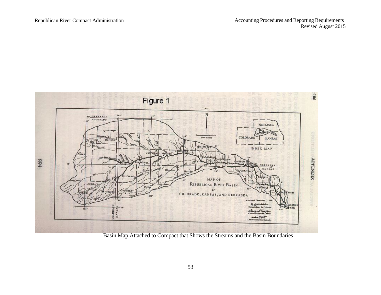

Basin Map Attached to Compact that Shows the Streams and the Basin Boundaries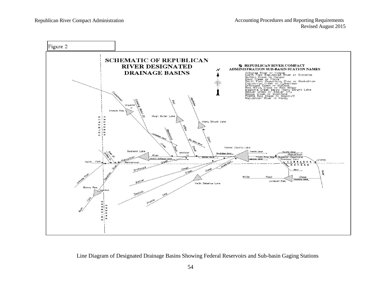

Line Diagram of Designated Drainage Basins Showing Federal Reservoirs and Sub-basin Gaging Stations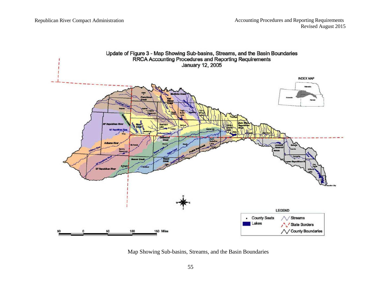

Map Showing Sub-basins, Streams, and the Basin Boundaries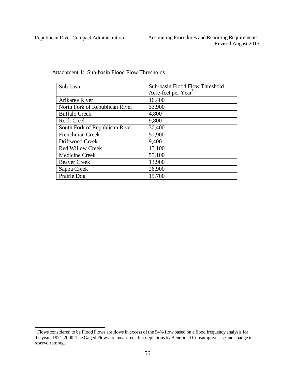| Sub-basin                      | Sub-basin Flood Flow Threshold  |
|--------------------------------|---------------------------------|
|                                | Acre-feet per Year <sup>3</sup> |
| Arikaree River                 | 16,400                          |
| North Fork of Republican River | 33,900                          |
| <b>Buffalo Creek</b>           | 4,800                           |
| <b>Rock Creek</b>              | 9,800                           |
| South Fork of Republican River | 30,400                          |
| Frenchman Creek                | 51,900                          |
| Driftwood Creek                | 9,400                           |
| <b>Red Willow Creek</b>        | 15,100                          |
| <b>Medicine Creek</b>          | 55,100                          |
| <b>Beaver Creek</b>            | 13,900                          |
| Sappa Creek                    | 26,900                          |
| Prairie Dog                    | 15,700                          |

Attachment 1: Sub-basin Flood Flow Thresholds

<sup>&</sup>lt;sup>3</sup> Flows considered to be Flood Flows are flows in excess of the 94% flow based on a flood frequency analysis for the years 1971-2000. The Gaged Flows are measured after depletions by Beneficial Consumptive Use and change in reservoirstorage.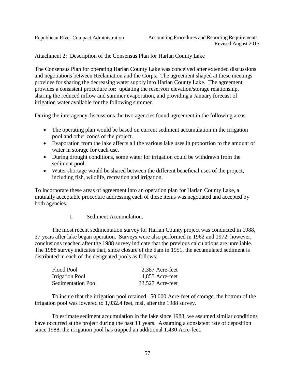Attachment 2: Description of the Consensus Plan for Harlan County Lake

The Consensus Plan for operating Harlan County Lake was conceived after extended discussions and negotiations between Reclamation and the Corps. The agreement shaped at these meetings provides for sharing the decreasing water supply into Harlan County Lake. The agreement provides a consistent procedure for: updating the reservoir elevation/storage relationship, sharing the reduced inflow and summer evaporation, and providing a January forecast of irrigation water available for the following summer.

During the interagency discussions the two agencies found agreement in the following areas:

- The operating plan would be based on current sediment accumulation in the irrigation pool and other zones of the project.
- Evaporation from the lake affects all the various lake uses in proportion to the amount of water in storage for each use.
- During drought conditions, some water for irrigation could be withdrawn from the sediment pool.
- Water shortage would be shared between the different beneficial uses of the project, including fish, wildlife, recreation and irrigation.

To incorporate these areas of agreement into an operation plan for Harlan County Lake, a mutually acceptable procedure addressing each of these items was negotiated and accepted by both agencies.

1. Sediment Accumulation.

The most recent sedimentation survey for Harlan County project was conducted in 1988, 37 years after lake began operation. Surveys were also performed in 1962 and 1972; however, conclusions reached after the 1988 survey indicate that the previous calculations are unreliable. The 1988 survey indicates that, since closure of the dam in 1951, the accumulated sediment is distributed in each of the designated pools as follows:

| 2,387 Acre-feet  |
|------------------|
| 4,853 Acre-feet  |
| 33,527 Acre-feet |
|                  |

To insure that the irrigation pool retained 150,000 Acre-feet of storage, the bottom of the irrigation pool was lowered to 1,932.4 feet, msl, after the 1988 survey.

To estimate sediment accumulation in the lake since 1988, we assumed similar conditions have occurred at the project during the past 11 years. Assuming a consistent rate of deposition since 1988, the irrigation pool has trapped an additional 1,430 Acre-feet.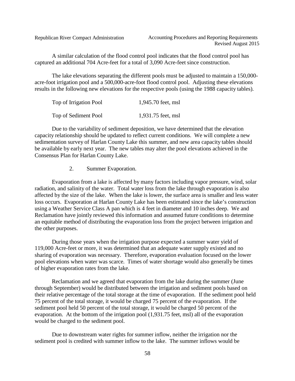A similar calculation of the flood control pool indicates that the flood control pool has captured an additional 704 Acre-feet for a total of 3,090 Acre-feet since construction.

The lake elevations separating the different pools must be adjusted to maintain a 150,000 acre-foot irrigation pool and a 500,000-acre-foot flood control pool. Adjusting these elevations results in the following new elevations for the respective pools (using the 1988 capacity tables).

| Top of Irrigation Pool | 1,945.70 feet, msl |
|------------------------|--------------------|
| Top of Sediment Pool   | 1,931.75 feet, msl |

Due to the variability of sediment deposition, we have determined that the elevation capacity relationship should be updated to reflect current conditions. We will complete a new sedimentation survey of Harlan County Lake this summer, and new area capacity tables should be available by early next year. The new tables may alter the pool elevations achieved in the Consensus Plan for Harlan County Lake.

2. Summer Evaporation.

Evaporation from a lake is affected by many factors including vapor pressure, wind, solar radiation, and salinity of the water. Total water loss from the lake through evaporation is also affected by the size of the lake. When the lake is lower, the surface area is smaller and less water loss occurs. Evaporation at Harlan County Lake has been estimated since the lake's construction using a Weather Service Class A pan which is 4 feet in diameter and 10 inches deep. We and Reclamation have jointly reviewed this information and assumed future conditions to determine an equitable method of distributing the evaporation loss from the project between irrigation and the other purposes.

During those years when the irrigation purpose expected a summer water yield of 119,000 Acre-feet or more, it was determined that an adequate water supply existed and no sharing of evaporation was necessary. Therefore, evaporation evaluation focused on the lower pool elevations when water was scarce. Times of water shortage would also generally be times of higher evaporation rates from the lake.

Reclamation and we agreed that evaporation from the lake during the summer (June through September) would be distributed between the irrigation and sediment pools based on their relative percentage of the total storage at the time of evaporation. If the sediment pool held 75 percent of the total storage, it would be charged 75 percent of the evaporation. If the sediment pool held 50 percent of the total storage, it would be charged 50 percent of the evaporation. At the bottom of the irrigation pool (1,931.75 feet, msl) all of the evaporation would be charged to the sediment pool.

Due to downstream water rights for summer inflow, neither the irrigation nor the sediment pool is credited with summer inflow to the lake. The summer inflows would be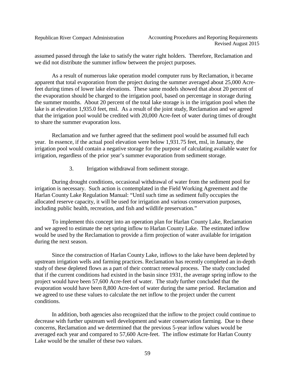assumed passed through the lake to satisfy the water right holders. Therefore, Reclamation and we did not distribute the summer inflow between the project purposes.

As a result of numerous lake operation model computer runs by Reclamation, it became apparent that total evaporation from the project during the summer averaged about 25,000 Acrefeet during times of lower lake elevations. These same models showed that about 20 percent of the evaporation should be charged to the irrigation pool, based on percentage in storage during the summer months. About 20 percent of the total lake storage is in the irrigation pool when the lake is at elevation 1,935.0 feet, msl. As a result of the joint study, Reclamation and we agreed that the irrigation pool would be credited with 20,000 Acre-feet of water during times of drought to share the summer evaporation loss.

Reclamation and we further agreed that the sediment pool would be assumed full each year. In essence, if the actual pool elevation were below 1,931.75 feet, msl, in January, the irrigation pool would contain a negative storage for the purpose of calculating available water for irrigation, regardless of the prior year's summer evaporation from sediment storage.

3. Irrigation withdrawal from sediment storage.

During drought conditions, occasional withdrawal of water from the sediment pool for irrigation is necessary. Such action is contemplated in the Field Working Agreement and the Harlan County Lake Regulation Manual: "Until such time as sediment fully occupies the allocated reserve capacity, it will be used for irrigation and various conservation purposes, including public health, recreation, and fish and wildlife preservation."

To implement this concept into an operation plan for Harlan County Lake, Reclamation and we agreed to estimate the net spring inflow to Harlan County Lake. The estimated inflow would be used by the Reclamation to provide a firm projection of water available for irrigation during the next season.

Since the construction of Harlan County Lake, inflows to the lake have been depleted by upstream irrigation wells and farming practices. Reclamation has recently completed an in-depth study of these depleted flows as a part of their contract renewal process. The study concluded that if the current conditions had existed in the basin since 1931, the average spring inflow to the project would have been 57,600 Acre-feet of water. The study further concluded that the evaporation would have been 8,800 Acre-feet of water during the same period. Reclamation and we agreed to use these values to calculate the net inflow to the project under the current conditions.

In addition, both agencies also recognized that the inflow to the project could continue to decrease with further upstream well development and water conservation farming. Due to these concerns, Reclamation and we determined that the previous 5-year inflow values would be averaged each year and compared to 57,600 Acre-feet. The inflow estimate for Harlan County Lake would be the smaller of these two values.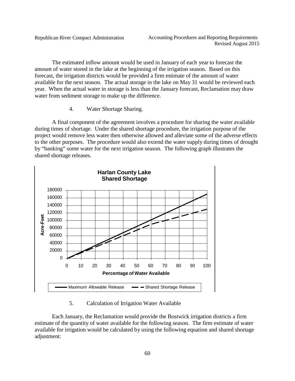The estimated inflow amount would be used in January of each year to forecast the amount of water stored in the lake at the beginning of the irrigation season. Based on this forecast, the irrigation districts would be provided a firm estimate of the amount of water available for the next season. The actual storage in the lake on May 31 would be reviewed each year. When the actual water in storage is less than the January forecast, Reclamation may draw water from sediment storage to make up the difference.

4. Water Shortage Sharing.

A final component of the agreement involves a procedure for sharing the water available during times of shortage. Under the shared shortage procedure, the irrigation purpose of the project would remove less water then otherwise allowed and alleviate some of the adverse effects to the other purposes. The procedure would also extend the water supply during times of drought by "banking" some water for the next irrigation season. The following graph illustrates the shared shortage releases.



#### 5. Calculation of Irrigation Water Available

Each January, the Reclamation would provide the Bostwick irrigation districts a firm estimate of the quantity of water available for the following season. The firm estimate of water available for irrigation would be calculated by using the following equation and shared shortage adjustment: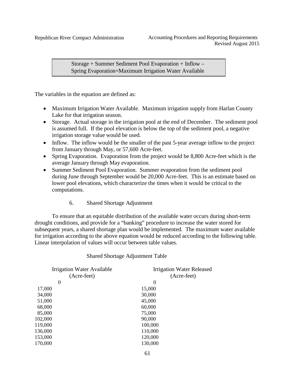Storage + Summer Sediment Pool Evaporation + Inflow – Spring Evaporation=Maximum Irrigation Water Available

The variables in the equation are defined as:

- Maximum Irrigation Water Available. Maximum irrigation supply from Harlan County Lake for that irrigation season.
- Storage. Actual storage in the irrigation pool at the end of December. The sediment pool is assumed full. If the pool elevation is below the top of the sediment pool, a negative irrigation storage value would be used.
- Inflow. The inflow would be the smaller of the past 5-year average inflow to the project from January through May, or 57,600 Acre-feet.
- Spring Evaporation. Evaporation from the project would be 8,800 Acre-feet which is the average January through May evaporation.
- Summer Sediment Pool Evaporation. Summer evaporation from the sediment pool during June through September would be 20,000 Acre-feet. This is an estimate based on lower pool elevations, which characterize the times when it would be critical to the computations.
	- 6. Shared Shortage Adjustment

To ensure that an equitable distribution of the available water occurs during short-term drought conditions, and provide for a "banking" procedure to increase the water stored for subsequent years, a shared shortage plan would be implemented. The maximum water available for irrigation according to the above equation would be reduced according to the following table. Linear interpolation of values will occur between table values.

Shared Shortage Adjustment Table

| <b>Irrigation Water Released</b> |  |  |  |  |  |  |
|----------------------------------|--|--|--|--|--|--|
| (Acre-feet)                      |  |  |  |  |  |  |
| $\theta$                         |  |  |  |  |  |  |
| 15,000                           |  |  |  |  |  |  |
| 30,000                           |  |  |  |  |  |  |
| 45,000                           |  |  |  |  |  |  |
| 60,000                           |  |  |  |  |  |  |
| 75,000                           |  |  |  |  |  |  |
| 90,000                           |  |  |  |  |  |  |
| 100,000                          |  |  |  |  |  |  |
| 110,000                          |  |  |  |  |  |  |
| 120,000                          |  |  |  |  |  |  |
| 130,000                          |  |  |  |  |  |  |
|                                  |  |  |  |  |  |  |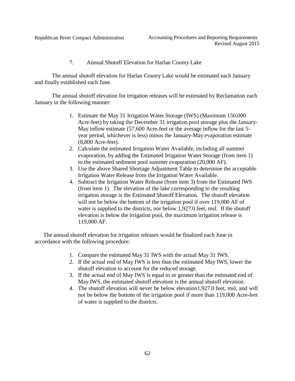7. Annual Shutoff Elevation for Harlan County Lake

The annual shutoff elevation for Harlan County Lake would be estimated each January and finally established each June.

The annual shutoff elevation for irrigation releases will be estimated by Reclamation each January in the following manner:

- 1. Estimate the May 31 Irrigation Water Storage (IWS) (Maximum 150,000 Acre-feet) by taking the December 31 irrigation pool storage plus the January-May inflow estimate (57,600 Acre-feet or the average inflow for the last 5 year period, whichever is less) minus the January-May evaporation estimate (8,800 Acre-feet).
- 2. Calculate the estimated Irrigation Water Available, including all summer evaporation, by adding the Estimated Irrigation Water Storage (from item 1) to the estimated sediment pool summer evaporation (20,000 AF).
- 3. Use the above Shared Shortage Adjustment Table to determine the acceptable Irrigation Water Release from the Irrigation Water Available.
- 4. Subtract the Irrigation Water Release (from item 3) from the Estimated IWS (from item 1). The elevation of the lake corresponding to the resulting irrigation storage is the Estimated Shutoff Elevation. The shutoff elevation will not be below the bottom of the irrigation pool if over 119,000 AF of water is supplied to the districts, nor below 1,927.0 feet, msl. If the shutoff elevation is below the irrigation pool, the maximum irrigation release is 119,000 AF.

The annual shutoff elevation for irrigation releases would be finalized each June in accordance with the following procedure:

- 1. Compare the estimated May 31 IWS with the actual May 31 IWS.
- 2. If the actual end of May IWS is less than the estimated May IWS, lower the shutoff elevation to account for the reduced storage.
- 3. If the actual end of May IWS is equal to or greater than the estimated end of May IWS, the estimated shutoff elevation is the annual shutoff elevation.
- 4. The shutoff elevation will never be below elevation1,927.0 feet, msl, and will not be below the bottom of the irrigation pool if more than 119,000 Acre-feet of water is supplied to the districts.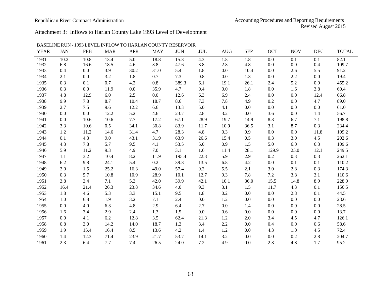Attachment 3: Inflows to Harlan County Lake 1993 Level of Development

| <b>YEAR</b> | <b>JAN</b> | <b>FEB</b> | <b>MAR</b> | <b>APR</b> | <b>MAY</b> | <b>JUN</b> | <b>JUL</b> | <b>AUG</b> | <b>SEP</b> | <b>OCT</b> | <b>NOV</b> | <b>DEC</b> | <b>TOTAL</b> |
|-------------|------------|------------|------------|------------|------------|------------|------------|------------|------------|------------|------------|------------|--------------|
| 1931        | 10.2       | 10.8       | 13.4       | 5.0        | 18.8       | 15.8       | 4.3        | 1.8        | 1.8        | 0.0        | 0.1        | 0.1        | 82.1         |
| 1932        | 6.8        | 16.6       | 18.5       | 4.6        | 3.8        | 47.6       | 3.8        | 2.8        | 4.8        | $0.0\,$    | 0.0        | 0.4        | 109.7        |
| 1933        | 0.4        | 0.0        | 3.9        | 30.2       | 31.0       | 5.4        | 1.8        | 0.0        | 10.4       | 0.0        | 2.6        | 5.5        | 91.2         |
| 1934        | 2.1        | 0.0        | 3.2        | 1.8        | 0.7        | 7.3        | 0.8        | 0.0        | 1.3        | 0.0        | 2.2        | 0.0        | 19.4         |
| 1935        | 0.3        | 0.1        | 0.7        | 4.2        | $0.8\,$    | 389.3      | 6.1        | 19.1       | 26.1       | 2.4        | 5.2        | 0.9        | 455.2        |
| 1936        | 0.3        | 0.0        | 11.9       | 0.0        | 35.9       | 4.7        | 0.4        | 0.0        | 1.8        | 0.0        | 1.6        | 3.8        | 60.4         |
| 1937        | 4.8        | 12.9       | 6.0        | 2.5        | 0.0        | 12.6       | 6.3        | 6.9        | 2.4        | 0.0        | 0.0        | 12.4       | 66.8         |
| 1938        | 9.9        | 7.8        | 8.7        | 10.4       | 18.7       | 8.6        | 7.3        | 7.8        | 4.9        | 0.2        | 0.0        | 4.7        | 89.0         |
| 1939        | 2.7        | 7.5        | 9.6        | 12.2       | 6.6        | 13.3       | 5.0        | 4.1        | 0.0        | 0.0        | 0.0        | 0.0        | 61.0         |
| 1940        | 0.0        | 0.0        | 12.2       | 5.2        | 4.6        | 23.7       | 2.8        | 3.2        | 0.0        | 3.6        | 0.0        | 1.4        | 56.7         |
| 1941        | 0.0        | 10.6       | 10.6       | 7.7        | 17.2       | 67.1       | 28.9       | 19.7       | 14.9       | 8.3        | 6.7        | 7.1        | 198.8        |
| 1942        | 3.3        | 10.6       | 0.5        | 34.1       | 30.8       | 83.9       | 11.7       | 10.9       | 36.5       | 3.1        | 8.7        | 0.3        | 234.4        |
| 1943        | 1.2        | 11.2       | 14.6       | 31.4       | 4.7        | 28.3       | 4.8        | 0.3        | 0.9        | 0.0        | 0.0        | 11.8       | 109.2        |
| 1944        | 0.1        | 4.3        | 9.0        | 43.1       | 31.9       | 63.9       | 26.6       | 15.4       | 0.5        | 0.3        | 3.0        | 4.5        | 202.6        |
| 1945        | 4.3        | 7.8        | 5.7        | 9.5        | 4.1        | 53.5       | 5.0        | 0.9        | 1.5        | 5.0        | 6.0        | 6.3        | 109.6        |
| 1946        | 5.9        | 11.2       | 9.3        | 4.9        | 7.0        | 3.1        | 1.6        | 11.4       | 28.1       | 129.9      | 25.0       | 12.1       | 249.5        |
| 1947        | 1.1        | 3.2        | 10.4       | 8.2        | 11.9       | 195.4      | 22.3       | 5.9        | 2.9        | 0.2        | 0.3        | 0.3        | 262.1        |
| 1948        | 6.2        | 9.8        | 24.1       | 5.4        | 0.2        | 39.8       | 13.5       | 6.8        | 4.2        | 0.0        | 0.1        | 0.1        | 110.2        |
| 1949        | 2.0        | 1.5        | 25.2       | 16.3       | 49.0       | 57.4       | 9.2        | 5.5        | 2.1        | 3.0        | 2.8        | 0.3        | 174.3        |
| 1950        | 0.3        | 5.7        | 10.8       | 10.9       | 28.9       | 10.1       | 12.7       | 9.3        | 7.8        | 7.2        | 3.8        | 3.1        | 110.6        |
| 1951        | 3.8        | 3.4        | 7.1        | 5.3        | 42.0       | 39.9       | 42.1       | 10.1       | 36.0       | 15.5       | 14.8       | 8.9        | 228.9        |
| 1952        | 16.4       | 21.4       | 26.3       | 23.8       | 34.6       | 4.0        | 9.3        | 3.1        | 1.5        | 11.7       | 4.3        | 0.1        | 156.5        |
| 1953        | 1.8        | 4.6        | 5.3        | 3.3        | 15.1       | 9.5        | 1.8        | 0.2        | 0.0        | 0.0        | 2.8        | 0.1        | 44.5         |
| 1954        | 1.0        | 6.8        | 1.9        | 3.2        | 7.1        | 2.4        | 0.0        | 1.2        | 0.0        | 0.0        | 0.0        | 0.0        | 23.6         |
| 1955        | 0.0        | 4.0        | 6.3        | 4.8        | 2.9        | 6.4        | 2.7        | 0.0        | 1.4        | 0.0        | 0.0        | 0.0        | 28.5         |
| 1956        | 1.6        | 3.4        | 2.9        | 2.4        | 1.3        | 1.5        | 0.0        | 0.6        | 0.0        | 0.0        | 0.0        | 0.0        | 13.7         |
| 1957        | 0.0        | 4.1        | 6.2        | 12.8       | 3.5        | 62.4       | 21.3       | 1.2        | 2.0        | 3.4        | 4.5        | 4.7        | 126.1        |
| 1958        | 0.8        | 3.0        | 14.2       | 14.0       | 18.7       | 1.3        | 3.4        | 2.2        | 0.0        | 0.4        | 0.0        | 0.6        | 58.6         |
| 1959        | 1.9        | 15.4       | 16.4       | 8.5        | 13.6       | 4.2        | 1.4        | 1.2        | 0.0        | 4.3        | 1.0        | 4.5        | 72.4         |
| 1960        | 1.4        | 12.3       | 71.4       | 23.9       | 21.7       | 53.7       | 14.1       | 3.2        | 0.0        | 0.0        | 0.2        | 2.8        | 204.7        |
| 1961        | 2.3        | 6.4        | 7.7        | 7.4        | 26.5       | 24.0       | 7.2        | 4.9        | 0.0        | 2.3        | 4.8        | 1.7        | 95.2         |

BASELINE RUN - 1993 LEVEL INFLOW TO HARLAN COUNTY RESERVOIR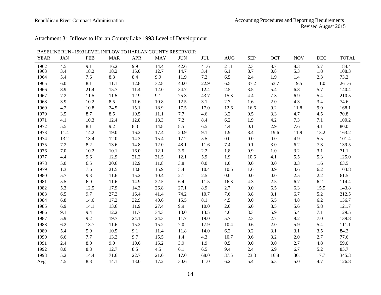#### Republican River Compact Administration and Accounting Procedures and Reporting Requirements Revised August 2015

## Attachment 3: Inflows to Harlan County Lake 1993 Level of Development

| <b>YEAR</b> | <b>JAN</b> | <b>FEB</b> | <b>MAR</b> | <b>APR</b> | <b>MAY</b> | <b>JUN</b> | JUL     | <b>AUG</b> | <b>SEP</b> | <b>OCT</b> | <b>NOV</b> | <b>DEC</b> | <b>TOTAL</b> |
|-------------|------------|------------|------------|------------|------------|------------|---------|------------|------------|------------|------------|------------|--------------|
| 1962        | 4.5        | 9.1        | 16.2       | 9.9        | 14.4       | 42.6       | 41.6    | 21.1       | 2.3        | 8.7        | 8.3        | 5.7        | 184.4        |
| 1963        | 3.4        | 18.2       | 18.2       | 15.0       | 12.7       | 14.7       | 3.4     | 6.1        | 8.7        | $0.8\,$    | 5.3        | 1.8        | 108.3        |
| 1964        | 5.4        | 7.6        | 8.3        | 8.4        | 9.9        | 11.9       | 7.2     | 6.5        | 2.4        | 1.9        | 1.4        | 2.3        | 73.2         |
| 1965        | 6.0        | 8.1        | 11.1       | 12.8       | 32.8       | 40.0       | 22.9    | 6.5        | 37.2       | 53.7       | 19.5       | 11.0       | 261.6        |
| 1966        | 8.9        | 21.4       | 15.7       | 11.4       | 12.0       | 34.7       | 12.4    | $2.5\,$    | 3.5        | 5.4        | 6.8        | 5.7        | 140.4        |
| 1967        | $7.2\,$    | 11.5       | 11.5       | 12.9       | 9.1        | 75.3       | 43.7    | 15.3       | 4.4        | 7.3        | 6.9        | 5.4        | 210.5        |
| 1968        | 3.9        | 10.2       | 8.5        | 11.6       | 10.8       | 12.5       | 3.1     | 2.7        | 1.6        | 2.0        | 4.3        | 3.4        | 74.6         |
| 1969        | 4.2        | 10.8       | 24.5       | 15.1       | 18.9       | 17.5       | 17.0    | 12.6       | 16.6       | 9.2        | 11.8       | 9.9        | 168.1        |
| 1970        | 3.5        | 8.7        | 8.5        | 10.5       | 11.1       | 7.7        | 4.6     | $3.2\,$    | 0.5        | 3.3        | 4.7        | 4.5        | 70.8         |
| 1971        | 4.1        | 10.3       | 12.4       | 12.8       | 18.3       | 7.2        | 8.4     | $6.2\,$    | 1.9        | 4.2        | $7.3$      | 7.1        | 100.2        |
| 1972        | 5.5        | 8.1        | 9.2        | 8.3        | 14.8       | 8.5        | 6.5     | 4.4        | 0.1        | 2.9        | 7.6        | 4.1        | 80.0         |
| 1973        | 11.4       | 14.2       | 19.0       | 16.2       | 17.4       | 20.9       | 9.1     | 1.9        | 8.4        | 19.6       | 11.9       | 13.2       | 163.2        |
| 1974        | 13.2       | 13.4       | 12.0       | 14.3       | 15.4       | 17.2       | 5.5     | 0.0        | 0.0        | 0.0        | 4.9        | 5.5        | 101.4        |
| 1975        | 7.2        | 8.2        | 13.6       | 14.8       | 12.0       | 48.1       | 11.6    | 7.4        | 0.1        | 3.0        | 6.2        | 7.3        | 139.5        |
| 1976        | 7.0        | 10.2       | 10.1       | 16.0       | 12.1       | 3.5        | 2.2     | 1.8        | 0.9        | 1.0        | 3.2        | 3.1        | 71.1         |
| 1977        | 4.4        | 9.6        | 12.9       | 21.2       | 31.5       | 12.1       | 5.9     | 1.9        | 10.6       | 4.1        | 5.5        | 5.3        | 125.0        |
| 1978        | 5.0        | 6.5        | 20.6       | 12.9       | 11.8       | 3.8        | $0.0\,$ | $1.0\,$    | 0.0        | $0.0\,$    | 0.3        | 1.6        | 63.5         |
| 1979        | 1.3        | 7.6        | 21.5       | 18.8       | 15.9       | 5.4        | 10.4    | 10.6       | 1.6        | 0.9        | 3.6        | $6.2\,$    | 103.8        |
| 1980        | 5.7        | 9.3        | 11.6       | 15.2       | 10.4       | 2.1        | 2.5     | 0.0        | 0.0        | 0.0        | $2.5\,$    | $2.2\,$    | 61.5         |
| 1981        | 5.5        | 6.0        | 11.6       | 14.9       | 22.5       | 6.4        | 11.5    | 16.3       | 4.3        | 2.5        | 6.7        | 6.2        | 114.4        |
| 1982        | 5.3        | 12.5       | 17.9       | 14.3       | 26.8       | 27.1       | 8.9     | 2.7        | 0.0        | 6.5        | 6.3        | 15.5       | 143.8        |
| 1983        | 6.5        | 9.7        | 27.2       | 16.4       | 41.4       | 74.2       | 10.7    | 7.6        | 3.8        | 3.1        | 6.7        | 5.2        | 212.5        |
| 1984        | 6.8        | 14.6       | 17.2       | 32.9       | 40.6       | 15.5       | 8.1     | 4.5        | 0.0        | 5.5        | 4.8        | 6.2        | 156.7        |
| 1985        | 6.9        | 14.1       | 13.6       | 11.9       | 27.4       | 9.9        | 10.0    | $2.0\,$    | 6.0        | 8.5        | 5.6        | 5.8        | 121.7        |
| 1986        | 9.1        | 9.4        | 12.2       | 11.7       | 34.3       | 13.0       | 13.5    | 4.6        | 3.3        | 5.9        | 5.4        | 7.1        | 129.5        |
| 1987        | 5.9        | 9.2        | 19.7       | 24.1       | 24.3       | 11.7       | 19.0    | 5.7        | 2.3        | 2.7        | 8.2        | 7.0        | 139.8        |
| 1988        | $6.2\,$    | 13.7       | 11.6       | 15.2       | 15.2       | 7.0        | 17.9    | 10.4       | 0.6        | $2.0\,$    | 5.9        | 5.4        | 111.1        |
| 1989        | 5.4        | 5.9        | 10.5       | 9.1        | 11.4       | 11.8       | 14.0    | 6.2        | 0.2        | 3.1        | 3.1        | 3.5        | 84.2         |
| 1990        | 6.6        | 7.7        | 13.2       | 9.7        | 15.5       | 1.4        | 4.3     | 10.7       | 0.6        | 3.2        | 2.0        | 2.7        | 77.6         |
| 1991        | 2.4        | 8.0        | 9.0        | 10.6       | 15.2       | 3.9        | 1.9     | 0.5        | 0.0        | 0.0        | $2.7\,$    | 4.8        | 59.0         |
| 1992        | 8.0        | 8.8        | 12.7       | 8.5        | 4.5        | 6.1        | 6.5     | 9.4        | 2.4        | 6.9        | 6.7        | 5.2        | 85.7         |
| 1993        | 5.2        | 14.4       | 71.6       | 22.7       | 21.0       | 17.0       | 68.0    | 37.5       | 23.3       | 16.8       | 30.1       | 17.7       | 345.3        |
| Avg         | 4.5        | 8.8        | 14.1       | 13.0       | 17.2       | 30.6       | 11.0    | 6.2        | 5.4        | 6.3        | 5.0        | 4.7        | 126.8        |

BASELINE RUN - 1993 LEVEL INFLOW TO HARLAN COUNTY RESERVOIR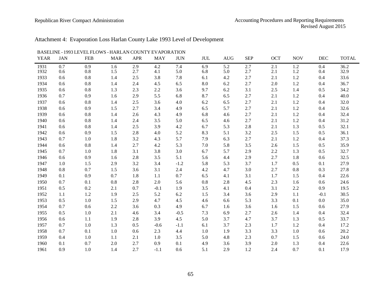### Republican River Compact Administration **Accounting Procedures and Reporting Requirements** Revised August 2015

## Attachment 4: Evaporation Loss Harlan County Lake 1993 Level of Development

|             |            |            | LO M 9 - HARLAI V |            | 1 1 L      |            |            |            |            |            |            |        |              |
|-------------|------------|------------|-------------------|------------|------------|------------|------------|------------|------------|------------|------------|--------|--------------|
| <b>YEAR</b> | <b>JAN</b> | <b>FEB</b> | <b>MAR</b>        | <b>APR</b> | <b>MAY</b> | <b>JUN</b> | <b>JUL</b> | <b>AUG</b> | <b>SEP</b> | <b>OCT</b> | <b>NOV</b> | DEC    | <b>TOTAL</b> |
| 1931        | 0.7        | 0.9        | 1.6               | 2.9        | 4.2        | 7.4        | 6.9        | 5.2        | 2.7        | 2.1        | $1.2\,$    | 0.4    | 36.2         |
| 1932        | 0.6        | 0.8        | 1.5               | 2.7        | 4.1        | 5.0        | 6.8        | 5.0        | 2.7        | 2.1        | 1.2        | 0.4    | 32.9         |
| 1933        | 0.6        | 0.8        | 1.4               | 2.5        | 3.8        | 7.8        | 6.1        | 4.2        | 2.7        | 2.1        | $1.2\,$    | 0.4    | 33.6         |
| 1934        | 0.6        | 0.8        | 1.4               | 2.4        | 4.5        | 6.5        | 8.0        | 6.2        | 2.7        | 2.0        | 1.2        | 0.4    | 36.7         |
| 1935        | 0.6        | 0.8        | 1.3               | 2.3        | 2.2        | 3.6        | 9.7        | 6.2        | 3.1        | 2.5        | 1.4        | 0.5    | 34.2         |
| 1936        | 0.7        | 0.9        | 1.6               | 2.9        | 5.5        | 6.8        | 8.7        | 6.5        | 2.7        | 2.1        | $1.2\,$    | 0.4    | 40.0         |
| 1937        | 0.6        | 0.8        | 1.4               | 2.5        | 3.6        | 4.0        | 6.2        | 6.5        | 2.7        | 2.1        | 1.2        | 0.4    | 32.0         |
| 1938        | 0.6        | 0.9        | 1.5               | 2.7        | 3.4        | 4.9        | 6.5        | 5.7        | 2.7        | 2.1        | $1.2\,$    | 0.4    | 32.6         |
| 1939        | 0.6        | 0.8        | 1.4               | 2.6        | 4.3        | 4.9        | 6.8        | 4.6        | 2.7        | 2.1        | $1.2\,$    | 0.4    | 32.4         |
| 1940        | 0.6        | 0.8        | 1.4               | 2.4        | 3.5        | 5.0        | 6.5        | 4.6        | 2.7        | 2.1        | $1.2\,$    | 0.4    | 31.2         |
| 1941        | 0.6        | 0.8        | 1.4               | 2.5        | 3.9        | 4.2        | 6.7        | 5.3        | 2.8        | 2.1        | 1.3        | 0.5    | 32.1         |
| 1942        | 0.6        | 0.9        | 1.5               | 2.8        | 4.0        | 5.2        | 8.3        | 5.1        | 3.2        | $2.5\,$    | 1.5        | 0.5    | 36.1         |
| 1943        | 0.7        | 1.0        | 1.8               | 3.2        | 4.3        | 5.7        | 7.9        | 6.3        | 2.7        | 2.1        | $1.2\,$    | 0.4    | 37.3         |
| 1944        | 0.6        | 0.8        | 1.4               | 2.7        | 4.2        | 5.3        | 7.0        | 5.8        | 3.5        | 2.6        | 1.5        | 0.5    | 35.9         |
| 1945        | 0.7        | 1.0        | 1.8               | 3.1        | 3.8        | 3.0        | 6.7        | 5.7        | 2.9        | $2.2\,$    | 1.3        | 0.5    | 32.7         |
| 1946        | 0.6        | 0.9        | 1.6               | 2.8        | 3.5        | 5.1        | 5.6        | 4.4        | 2.9        | 2.7        | 1.8        | 0.6    | 32.5         |
| 1947        | 1.0        | 1.5        | 2.9               | 3.2        | 3.4        | $-1.2$     | 5.8        | 5.3        | 3.7        | 1.7        | 0.5        | 0.1    | 27.9         |
| 1948        | 0.8        | 0.7        | 1.5               | 3.6        | 3.1        | 2.4        | 4.2        | 4.7        | 3.0        | 2.7        | $0.8\,$    | 0.3    | 27.8         |
| 1949        | 0.1        | 0.9        | 0.7               | 1.8        | 1.1        | 0.7        | 6.5        | 4.1        | 3.1        | 1.7        | 1.5        | 0.4    | 22.6         |
| 1950        | 0.7        | 0.1        | 0.8               | 2.8        | 2.0        | 5.6        | 0.8        | 2.8        | 4.5        | 2.3        | 1.6        | 0.6    | 24.6         |
| 1951        | 0.5        | 0.2        | 2.1               | 0.7        | $-0.1$     | 1.9        | 3.5        | 4.1        | 0.4        | 3.1        | 2.2        | 0.9    | 19.5         |
| 1952        | 1.1        | 1.2        | 1.9               | 2.5        | 5.2        | 6.2        | 1.5        | 3.4        | 3.6        | 2.9        | 1.1        | $-0.1$ | 30.5         |
| 1953        | 0.5        | 1.0        | 1.5               | 2.9        | 4.7        | 4.5        | 4.6        | 6.6        | 5.3        | 3.3        | 0.1        | 0.0    | 35.0         |
| 1954        | 0.7        | 0.6        | 2.2               | 3.6        | 0.3        | 4.9        | 6.7        | 1.6        | 3.6        | 1.6        | 1.5        | 0.6    | 27.9         |
| 1955        | 0.5        | 1.0        | 2.1               | 4.6        | 3.4        | $-0.5$     | 7.3        | 6.9        | 2.7        | 2.6        | 1.4        | 0.4    | 32.4         |
| 1956        | 0.6        | 1.1        | 1.9               | 2.8        | 3.9        | 4.5        | 5.0        | 3.7        | 4.7        | 3.7        | 1.3        | 0.5    | 33.7         |
| 1957        | 0.7        | 1.0        | 1.3               | 0.5        | $-0.6$     | $-1.1$     | 6.1        | 3.7        | 2.3        | 1.7        | 1.2        | 0.4    | 17.2         |
| 1958        | 0.7        | 0.1        | 1.0               | 0.6        | 2.3        | 4.4        | 1.0        | 1.9        | 3.3        | 3.3        | 1.0        | 0.6    | 20.2         |
| 1959        | 0.4        | 1.0        | 1.1               | 2.1        | 1.0        | 3.5        | 5.0        | 4.8        | 2.3        | 0.7        | 1.5        | 0.6    | 24.0         |
| 1960        | 0.1        | 0.7        | 2.0               | 2.7        | 0.9        | 0.1        | 4.9        | 3.6        | 3.9        | 2.0        | 1.3        | 0.4    | 22.6         |
| 1961        | 0.9        | 1.0        | 1.4               | 2.7        | $-1.1$     | 0.6        | 5.1        | 2.9        | 1.2        | 2.4        | 0.7        | 0.1    | 17.9         |

#### BASELINE - 1993 LEVELFLOWS - HARLAN COUNTY EVAPORATION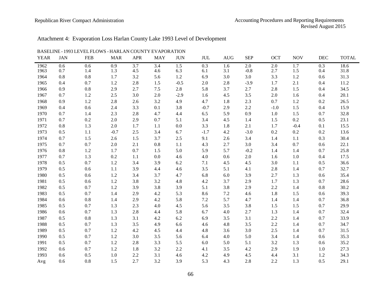### Republican River Compact Administration **Accounting Procedures and Reporting Requirements** Revised August 2015

# Attachment 4: Evaporation Loss Harlan County Lake 1993 Level of Development

| <b>YEAR</b> | <b>JAN</b> | <b>FEB</b> | <b>MAR</b> | <b>APR</b> | <b>MAY</b> | <b>JUN</b> | JUL     | <b>AUG</b> | <b>SEP</b> | <b>OCT</b> | <b>NOV</b> | <b>DEC</b> | <b>TOTAL</b> |
|-------------|------------|------------|------------|------------|------------|------------|---------|------------|------------|------------|------------|------------|--------------|
| 1962        | 0.6        | 0.6        | 0.9        | 3.7        | 3.4        | 1.5        | 0.3     | 1.6        | 2.0        | 2.0        | 1.7        | 0.3        | 18.6         |
| 1963        | 0.7        | 1.4        | 1.3        | 4.5        | 4.6        | 6.3        | 6.1     | 3.1        | $-0.8$     | 2.7        | 1.5        | 0.4        | 31.8         |
| 1964        | 0.8        | $0.8\,$    | 1.7        | 3.2        | 5.6        | $1.2\,$    | 6.9     | 3.0        | 3.0        | 3.3        | 1.2        | 0.6        | 31.3         |
| 1965        | 0.4        | 0.7        | 1.2        | 2.8        | 1.5        | $-0.5$     | 2.0     | 2.8        | $-3.9$     | 1.7        | 2.1        | 0.4        | 11.2         |
| 1966        | 0.9        | $0.8\,$    | 2.9        | 2.7        | $7.5$      | 2.8        | 5.8     | 3.7        | 2.7        | 2.8        | $1.5$      | 0.4        | 34.5         |
| 1967        | 0.7        | $1.2\,$    | $2.5\,$    | 3.0        | $2.0\,$    | $-2.9$     | 1.6     | 4.5        | 3.5        | 2.0        | 1.6        | 0.4        | 20.1         |
| 1968        | 0.9        | $1.2\,$    | 2.8        | 2.6        | 3.2        | 4.9        | 4.7     | 1.8        | 2.3        | 0.7        | $1.2\,$    | 0.2        | 26.5         |
| 1969        | 0.4        | 0.6        | 2.4        | 3.3        | 0.1        | 3.8        | $-0.7$  | 2.9        | 2.2        | $-1.0$     | $1.5$      | 0.4        | 15.9         |
| 1970        | 0.7        | 1.4        | 2.3        | 2.8        | 4.7        | 4.4        | 6.5     | 5.9        | 0.9        | 1.0        | 1.5        | 0.7        | 32.8         |
| 1971        | 0.7        | $0.2\,$    | $2.0\,$    | 2.9        | 0.7        | 5.1        | 3.4     | 4.5        | 1.4        | 1.5        | $0.2\,$    | $0.5\,$    | 23.1         |
| 1972        | 0.8        | 1.3        | $2.0\,$    | 1.7        | 1.1        | $0.0\,$    | 3.3     | $1.8\,$    | 2.1        | $1.7\,$    | $-0.4$     | 0.1        | 15.5         |
| 1973        | 0.5        | 1.1        | $-0.7$     | $2.5\,$    | 3.4        | 6.7        | $-1.7$  | 4.2        | $-3.0$     | 0.2        | $0.2\,$    | 0.2        | 13.6         |
| 1974        | 0.7        | $1.5\,$    | 2.6        | 1.5        | 3.7        | 2.5        | 9.1     | 2.6        | 3.4        | 1.4        | 1.1        | 0.3        | 30.4         |
| 1975        | 0.7        | 0.7        | 2.0        | 2.1        | $0.8\,$    | 1.1        | 4.3     | 2.7        | 3.0        | 3.4        | 0.7        | 0.6        | 22.1         |
| 1976        | 0.8        | $1.2\,$    | 1.7        | 0.7        | 1.5        | 5.0        | 5.9     | 5.7        | $-0.2$     | 1.4        | 1.4        | 0.7        | 25.8         |
| 1977        | 0.7        | $1.3\,$    | 0.2        | $1.1\,$    | 0.0        | 4.6        | 4.0     | 0.6        | 2.0        | 1.6        | $1.0\,$    | 0.4        | 17.5         |
| 1978        | 0.5        | 0.7        | 1.2        | 3.4        | 3.9        | 6.2        | 7.1     | 4.5        | 4.5        | 3.0        | 1.1        | $0.5\,$    | 36.6         |
| 1979        | 0.5        | $0.6\,$    | 1.1        | 3.9        | 4.4        | 4.6        | $3.5$   | 5.1        | 4.1        | $2.8\,$    | $1.4\,$    | 0.7        | 32.7         |
| 1980        | 0.5        | 0.6        | 1.2        | 3.4        | 3.7        | 4.7        | 6.8     | $6.0\,$    | 3.9        | 2.7        | 1.3        | 0.6        | 35.4         |
| 1981        | 0.5        | 0.6        | 1.2        | 3.8        | 3.2        | 4.8        | 4.2     | 3.7        | 2.9        | 1.7        | 1.3        | 0.7        | 28.6         |
| 1982        | 0.5        | 0.7        | 1.2        | 3.9        | 3.8        | 3.9        | 5.1     | 3.8        | 2.9        | 2.2        | 1.4        | $0.8\,$    | 30.2         |
| 1983        | 0.5        | 0.7        | 1.4        | 2.9        | 4.2        | 5.3        | 8.6     | $7.2\,$    | 4.6        | 1.8        | 1.5        | 0.6        | 39.3         |
| 1984        | 0.6        | $0.8\,$    | 1.4        | 2.9        | 4.2        | 5.8        | $7.2\,$ | 5.7        | 4.7        | 1.4        | 1.4        | 0.7        | 36.8         |
| 1985        | 0.5        | 0.7        | 1.3        | 2.3        | 4.0        | 4.5        | 5.6     | 3.5        | 3.8        | 1.5        | 1.5        | 0.7        | 29.9         |
| 1986        | 0.6        | 0.7        | 1.3        | 2.8        | 4.4        | 5.8        | 6.7     | 4.0        | 2.7        | 1.3        | 1.4        | 0.7        | 32.4         |
| 1987        | 0.5        | $0.8\,$    | 1.3        | 3.1        | 4.2        | 6.2        | 6.9     | 3.5        | 3.1        | 2.2        | 1.4        | 0.7        | 33.9         |
| 1988        | 0.5        | 0.7        | 1.3        | 3.5        | 4.9        | 6.6        | 4.6     | 4.8        | 3.5        | 2.2        | 1.4        | 0.7        | 34.7         |
| 1989        | 0.5        | 0.7        | 1.2        | 4.2        | 4.5        | 4.4        | 4.8     | 3.6        | 3.0        | 2.5        | 1.4        | 0.7        | 31.5         |
| 1990        | 0.5        | 0.7        | 1.2        | 3.0        | 3.5        | 5.6        | 6.4     | 4.0        | 5.0        | 3.4        | 1.4        | 0.6        | 35.3         |
| 1991        | 0.5        | 0.7        | 1.2        | 2.8        | 3.3        | 5.5        | 6.0     | 5.0        | 5.1        | 3.2        | 1.3        | 0.6        | 35.2         |
| 1992        | 0.6        | 0.7        | 1.2        | 1.8        | 3.2        | 2.2        | 4.1     | 3.5        | 4.2        | 2.9        | 1.9        | 1.0        | 27.3         |
| 1993        | 0.6        | 0.5        | 1.0        | 2.2        | 3.1        | 4.6        | 4.2     | 4.9        | 4.5        | 4.4        | 3.1        | 1.2        | 34.3         |
| Avg         | 0.6        | 0.8        | 1.5        | 2.7        | 3.2        | 3.9        | 5.3     | 4.3        | 2.8        | 2.2        | 1.3        | 0.5        | 29.1         |

#### BASELINE - 1993 LEVELFLOWS - HARLAN COUNTY EVAPORATION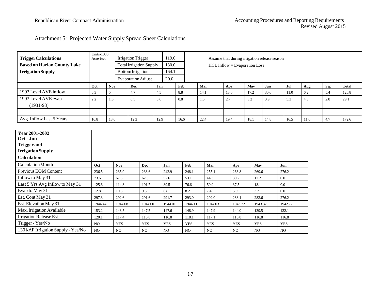|  |  | Attachment 5: Projected Water Supply Spread Sheet Calculations |
|--|--|----------------------------------------------------------------|
|--|--|----------------------------------------------------------------|

| <b>Trigger Calculations</b>                                                       | <b>Units-1000</b><br>Acre-feet |                 | <b>Irrigation Trigger</b>      |            | 119.0           |            | Assume that during irrigation release season |                |            |         |            |      |            |              |  |  |
|-----------------------------------------------------------------------------------|--------------------------------|-----------------|--------------------------------|------------|-----------------|------------|----------------------------------------------|----------------|------------|---------|------------|------|------------|--------------|--|--|
| <b>Based on Harlan County Lake</b>                                                |                                |                 | <b>Total Irrigation Supply</b> |            | 130.0           |            | HCL Inflow = Evaporation Loss                |                |            |         |            |      |            |              |  |  |
| <b>IrrigationSupply</b>                                                           |                                |                 | <b>Bottom Irrigation</b>       |            | 164.1           |            |                                              |                |            |         |            |      |            |              |  |  |
|                                                                                   |                                |                 | <b>Evaporation Adjust</b>      |            | 20.0            |            |                                              |                |            |         |            |      |            |              |  |  |
|                                                                                   | Oct                            | <b>Nov</b>      | <b>Dec</b>                     | Jan        | Feb             |            | Mar                                          | Apr            | May        | Jun     | Jul        | Aug  | <b>Sep</b> | <b>Total</b> |  |  |
| 1993 Level AVE inflow                                                             | 6.3                            | 5               | 4.7<br>4.5                     |            | $\!\!\!\!\!8.8$ |            | 14.1                                         | 13.0           | 17.2       | 30.6    | 11.0       | 6.2  | 5.4        | 126.8        |  |  |
| 1993 Level AVE evap                                                               | 2.2                            | 1.3             | 0.5<br>0.6                     |            | $0.8\,$         | 1.5        |                                              | 2.7            | 3.2        | 3.9     | 5.3        | 4.3  | 2.8        | 29.1         |  |  |
| $(1931-93)$                                                                       |                                |                 |                                |            |                 |            |                                              |                |            |         |            |      |            |              |  |  |
|                                                                                   |                                |                 |                                |            |                 |            |                                              |                |            |         |            |      |            |              |  |  |
| Avg. Inflow Last 5 Years                                                          | 10.8                           | 13.0            | 12.3                           | 12.9       | 16.6            |            | 22.4                                         | 19.4           | 18.1       | 14.8    | 16.5       | 11.0 | 4.7        | 172.6        |  |  |
| Oct - Jun<br><b>Trigger and</b><br><b>Irrigation Supply</b><br><b>Calculation</b> |                                |                 |                                |            |                 |            |                                              |                |            |         |            |      |            |              |  |  |
| <b>Calculation Month</b>                                                          | Oct                            | <b>Nov</b>      | Dec                            | Jan        |                 | Feb        | Mar                                          | Apr            | May        |         | Jun        |      |            |              |  |  |
| Previous EOM Content                                                              | 236.5                          | 235.9           | 238.6                          | 242.9      |                 | 248.1      | 255.1                                        | 263.8          | 269.6      |         | 276.2      |      |            |              |  |  |
| Inflow to May 31                                                                  | 73.6                           | 67.3            | 62.3                           | 57.6       |                 | 53.1       | 44.3                                         | 30.2           | 17.2       |         | $0.0\,$    |      |            |              |  |  |
| Last 5 Yrs Avg Inflow to May 31                                                   | 125.6                          | 114.8           | 101.7                          | 89.5       |                 | 76.6       | 59.9                                         | 37.5           | 18.1       |         | $0.0\,$    |      |            |              |  |  |
| Evap to May 31                                                                    | 12.8                           | 10.6            | 9.3                            | 8.8        |                 | 8.2        | 7.4                                          | 5.9            | 3.2        |         | $0.0\,$    |      |            |              |  |  |
| Est. Cont May 31                                                                  | 297.3                          | 292.6           | 291.6                          | 291.7      |                 | 293.0      | 292.0                                        | 288.1          | 283.6      |         | 276.2      |      |            |              |  |  |
| Est. Elevation May 31                                                             | 1944.44                        | 1944.08         | 1944.00                        | 1944.01    |                 | 1944.11    | 1944.03                                      | 1943.72        |            | 1943.37 | 1942.77    |      |            |              |  |  |
| Max. Irrigation Available                                                         | 153.2                          | 148.5           | 147.5                          | 147.6      |                 | 148.9      | 147.9                                        | 144.0          |            | 139.5   | 132.1      |      |            |              |  |  |
| Irrigation Release Est.                                                           | 120.1                          | 117.4           | 116.8                          | 116.8      |                 | 118.1      | 117.1                                        | 116.8          |            | 116.8   | 116.8      |      |            |              |  |  |
| Trigger - Yes/No                                                                  | NO                             | <b>YES</b>      | <b>YES</b>                     | <b>YES</b> |                 | <b>YES</b> | <b>YES</b>                                   | <b>YES</b>     | <b>YES</b> |         | <b>YES</b> |      |            |              |  |  |
| 130 kAF Irrigation Supply - Yes/No                                                | NO                             | NO <sub>1</sub> | NO                             | NO.        |                 | NO.        | N <sub>O</sub>                               | N <sub>O</sub> | <b>NO</b>  |         | <b>NO</b>  |      |            |              |  |  |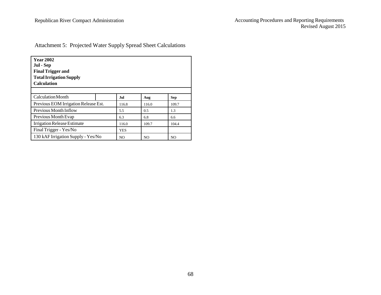| 1.                                                                                                    |  |
|-------------------------------------------------------------------------------------------------------|--|
| 2.                                                                                                    |  |
| 3.                                                                                                    |  |
|                                                                                                       |  |
|                                                                                                       |  |
|                                                                                                       |  |
|                                                                                                       |  |
| 1.                                                                                                    |  |
| $\mathfrak{D}$                                                                                        |  |
| E. Calculation to Determine Compact Compliance Using Five-Year Running Averages  14                   |  |
| F. Calculations To Determine Colorado's and Kansas's Compliance with the Sub-basin Non-               |  |
|                                                                                                       |  |
|                                                                                                       |  |
| 1.                                                                                                    |  |
| Procedures to Determine 130,000 Acre Feet Projected Water Supply 16<br>2.                             |  |
| H. Calculation of Computed Water Supply, Allocations and Computed Beneficial Consumptive              |  |
| Use Above and Below Guide Rock During Water-Short Administration Years 16                             |  |
| I. Calculation of Imported Water Supply Credits During Water-Short Year Administration                |  |
|                                                                                                       |  |
| 1.                                                                                                    |  |
| 2.                                                                                                    |  |
| 3.<br>Imported Water Supply Credits Between Harlan County Dam and Guide Rock During the               |  |
|                                                                                                       |  |
| Imported Water Supply Credits Between Harlan County Dam and Guide Rock During the<br>$\overline{4}$ . |  |
|                                                                                                       |  |
| 5.                                                                                                    |  |
| J. Calculations of Compact Compliance in Water-Short Year Administration Years 19                     |  |
|                                                                                                       |  |
|                                                                                                       |  |
| 1.                                                                                                    |  |
| 2.                                                                                                    |  |
| a)                                                                                                    |  |
|                                                                                                       |  |